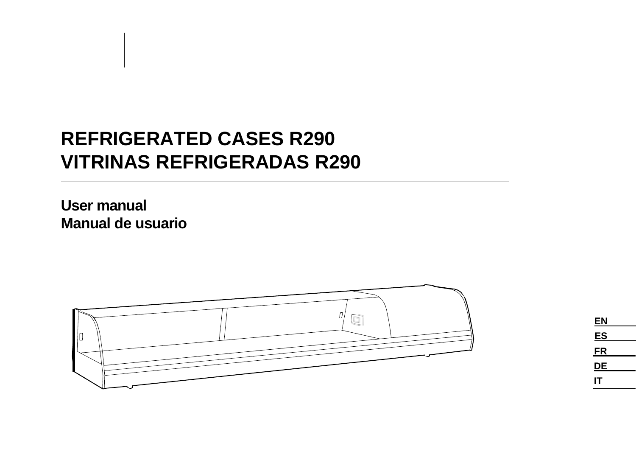# **REFRIGERATED CASES R290 VITRINAS REFRIGERADAS R290**

**User manual Manual de usuario**



**EN ES FR DE IT**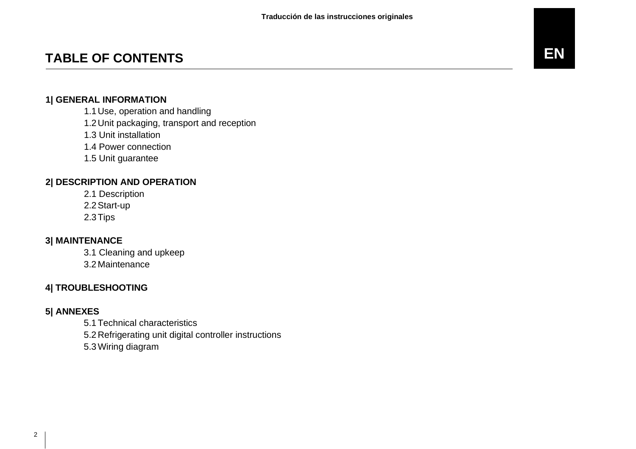# **TABLE OF CONTENTS**

#### **1| GENERAL INFORMATION**

1.1 Use, operation and handling

1.2 Unit packaging, transport and reception

1.3 Unit installation

1.4 Power connection

1.5 Unit guarantee

### **2| DESCRIPTION AND OPERATION**

2.1 Description

2.2Start-up

2.3Tips

### **3| MAINTENANCE**

3.1 Cleaning and upkeep

3.2 Maintenance

### **4| TROUBLESHOOTING**

### **5| ANNEXES**

5.1 Technical characteristics 5.2 Refrigerating unit digital controller instructions 5.3 Wiring diagram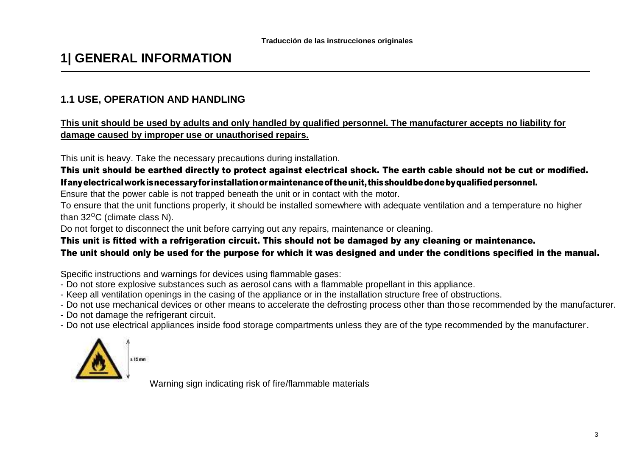# **1| GENERAL INFORMATION**

## **1.1 USE, OPERATION AND HANDLING**

### **This unit should be used by adults and only handled by qualified personnel. The manufacturer accepts no liability for damage caused by improper use or unauthorised repairs.**

This unit is heavy. Take the necessary precautions during installation.

### This unit should be earthed directly to protect against electrical shock. The earth cable should not be cut or modified. Ifanyelectricalworkisnecessaryforinstallationormaintenanceoftheunit,thisshouldbedonebyqualifiedpersonnel.

Ensure that the power cable is not trapped beneath the unit or in contact with the motor.

To ensure that the unit functions properly, it should be installed somewhere with adequate ventilation and a temperature no higher than  $32^{\circ}$ C (climate class N).

Do not forget to disconnect the unit before carrying out any repairs, maintenance or cleaning.

#### This unit is fitted with a refrigeration circuit. This should not be damaged by any cleaning or maintenance.

#### The unit should only be used for the purpose for which it was designed and under the conditions specified in the manual.

Specific instructions and warnings for devices using flammable gases:

- Do not store explosive substances such as aerosol cans with a flammable propellant in this appliance.
- Keep all ventilation openings in the casing of the appliance or in the installation structure free of obstructions.
- Do not use mechanical devices or other means to accelerate the defrosting process other than those recommended by the manufacturer.
- Do not damage the refrigerant circuit.
- Do not use electrical appliances inside food storage compartments unless they are of the type recommended by the manufacturer.



Warning sign indicating risk of fire/flammable materials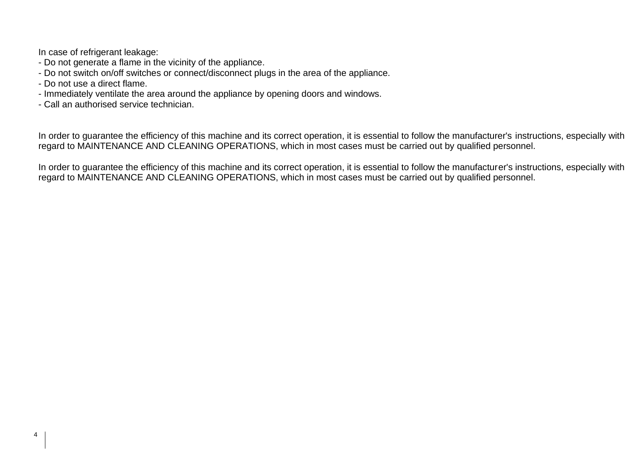In case of refrigerant leakage:

- Do not generate a flame in the vicinity of the appliance.
- Do not switch on/off switches or connect/disconnect plugs in the area of the appliance.
- Do not use a direct flame.
- Immediately ventilate the area around the appliance by opening doors and windows.
- Call an authorised service technician.

In order to guarantee the efficiency of this machine and its correct operation, it is essential to follow the manufacturer's instructions, especially with regard to MAINTENANCE AND CLEANING OPERATIONS, which in most cases must be carried out by qualified personnel.

In order to guarantee the efficiency of this machine and its correct operation, it is essential to follow the manufacturer's instructions, especially with regard to MAINTENANCE AND CLEANING OPERATIONS, which in most cases must be carried out by qualified personnel.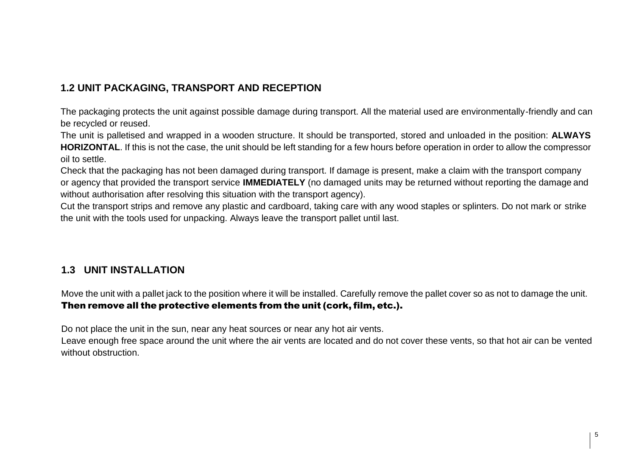# **1.2 UNIT PACKAGING, TRANSPORT AND RECEPTION**

The packaging protects the unit against possible damage during transport. All the material used are environmentally-friendly and can be recycled or reused.

The unit is palletised and wrapped in a wooden structure. It should be transported, stored and unloaded in the position: **ALWAYS HORIZONTAL**. If this is not the case, the unit should be left standing for a few hours before operation in order to allow the compressor oil to settle.

Check that the packaging has not been damaged during transport. If damage is present, make a claim with the transport company or agency that provided the transport service **IMMEDIATELY** (no damaged units may be returned without reporting the damage and without authorisation after resolving this situation with the transport agency).

Cut the transport strips and remove any plastic and cardboard, taking care with any wood staples or splinters. Do not mark or strike the unit with the tools used for unpacking. Always leave the transport pallet until last.

### **1.3 UNIT INSTALLATION**

Move the unit with a pallet jack to the position where it will be installed. Carefully remove the pallet cover so as not to damage the unit. Then remove all the protective elements from the unit (cork, film, etc.).

Do not place the unit in the sun, near any heat sources or near any hot air vents.

Leave enough free space around the unit where the air vents are located and do not cover these vents, so that hot air can be vented without obstruction.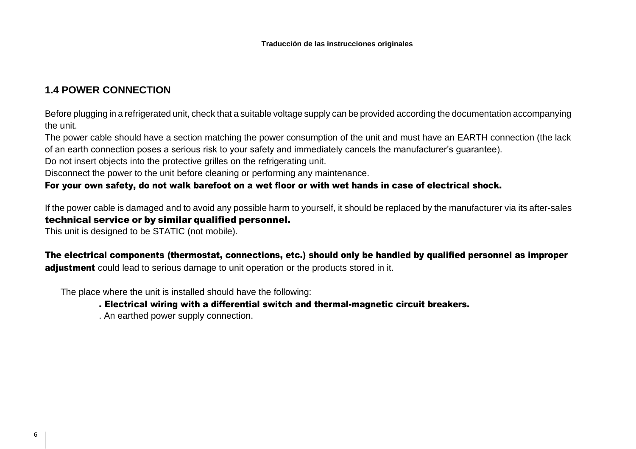## **1.4 POWER CONNECTION**

Before plugging in a refrigerated unit, check that a suitable voltage supply can be provided according the documentation accompanying the unit.

The power cable should have a section matching the power consumption of the unit and must have an EARTH connection (the lack of an earth connection poses a serious risk to your safety and immediately cancels the manufacturer's guarantee).

Do not insert objects into the protective grilles on the refrigerating unit.

Disconnect the power to the unit before cleaning or performing any maintenance.

### For your own safety, do not walk barefoot on a wet floor or with wet hands in case of electrical shock.

If the power cable is damaged and to avoid any possible harm to yourself, it should be replaced by the manufacturer via its after-sales technical service or by similar qualified personnel.

This unit is designed to be STATIC (not mobile).

The electrical components (thermostat, connections, etc.) should only be handled by qualified personnel as improper adjustment could lead to serious damage to unit operation or the products stored in it.

The place where the unit is installed should have the following:

### . Electrical wiring with a differential switch and thermal-magnetic circuit breakers.

. An earthed power supply connection.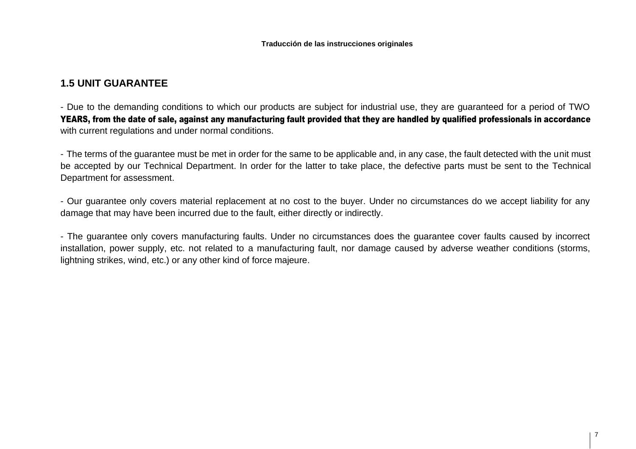### **1.5 UNIT GUARANTEE**

- Due to the demanding conditions to which our products are subject for industrial use, they are guaranteed for a period of TWO YEARS, from the date of sale, against any manufacturing fault provided that they are handled by qualified professionals in accordance with current regulations and under normal conditions.

- The terms of the guarantee must be met in order for the same to be applicable and, in any case, the fault detected with the unit must be accepted by our Technical Department. In order for the latter to take place, the defective parts must be sent to the Technical Department for assessment.

- Our guarantee only covers material replacement at no cost to the buyer. Under no circumstances do we accept liability for any damage that may have been incurred due to the fault, either directly or indirectly.

- The guarantee only covers manufacturing faults. Under no circumstances does the guarantee cover faults caused by incorrect installation, power supply, etc. not related to a manufacturing fault, nor damage caused by adverse weather conditions (storms, lightning strikes, wind, etc.) or any other kind of force majeure.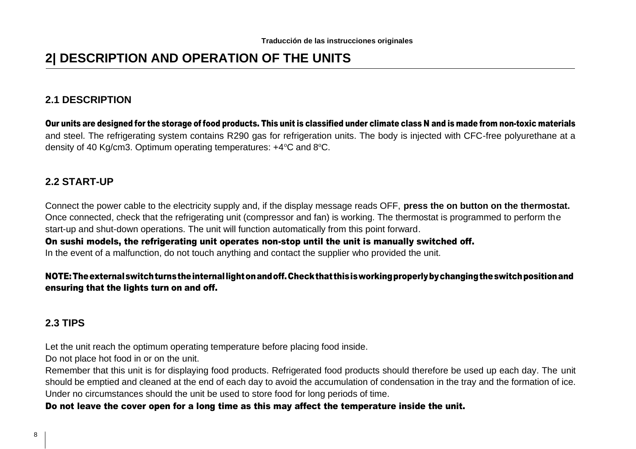# **2| DESCRIPTION AND OPERATION OF THE UNITS**

### **2.1 DESCRIPTION**

Our units are designed for the storage of food products. This unit is classified under climate class N and is made from non-toxic materials and steel. The refrigerating system contains R290 gas for refrigeration units. The body is injected with CFC-free polyurethane at a density of 40 Kg/cm3. Optimum operating temperatures: +4°C and 8°C.

### **2.2 START-UP**

Connect the power cable to the electricity supply and, if the display message reads OFF, **press the on button on the thermostat.**  Once connected, check that the refrigerating unit (compressor and fan) is working. The thermostat is programmed to perform the start-up and shut-down operations. The unit will function automatically from this point forward.

On sushi models, the refrigerating unit operates non-stop until the unit is manually switched off. In the event of a malfunction, do not touch anything and contact the supplier who provided the unit.

### NOTE:Theexternalswitchturnstheinternallightonandoff.Checkthat thisisworkingproperlybychangingtheswitchpositionand ensuring that the lights turn on and off.

### **2.3 TIPS**

Let the unit reach the optimum operating temperature before placing food inside.

Do not place hot food in or on the unit.

Remember that this unit is for displaying food products. Refrigerated food products should therefore be used up each day. The unit should be emptied and cleaned at the end of each day to avoid the accumulation of condensation in the tray and the formation of ice. Under no circumstances should the unit be used to store food for long periods of time.

#### Do not leave the cover open for a long time as this may affect the temperature inside the unit.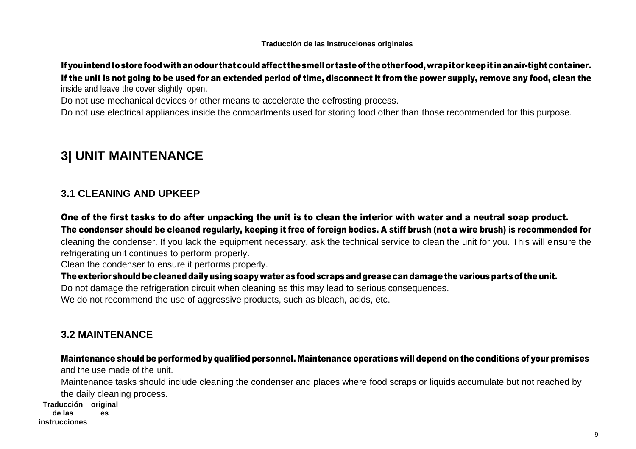**Traducción de las instrucciones originales**

### Ifyouintendtostorefoodwithanodour thatcouldaffect thesmellor tasteof theother food,wrapitorkeepit inanair-tightcontainer. If the unit is not going to be used for an extended period of time, disconnect it from the power supply, remove any food, clean the inside and leave the cover slightly open.

Do not use mechanical devices or other means to accelerate the defrosting process.

Do not use electrical appliances inside the compartments used for storing food other than those recommended for this purpose.

# **3| UNIT MAINTENANCE**

# **3.1 CLEANING AND UPKEEP**

One of the first tasks to do after unpacking the unit is to clean the interior with water and a neutral soap product. The condenser should be cleaned regularly, keeping it free of foreign bodies. A stiff brush (not a wire brush) is recommended for

cleaning the condenser. If you lack the equipment necessary, ask the technical service to clean the unit for you. This will ensure the refrigerating unit continues to perform properly.

Clean the condenser to ensure it performs properly.

The exterior should be cleaned daily using soapy water as food scraps and grease can damage the various parts of the unit.

Do not damage the refrigeration circuit when cleaning as this may lead to serious consequences.

We do not recommend the use of aggressive products, such as bleach, acids, etc.

### **3.2 MAINTENANCE**

### Maintenance should be performed by qualified personnel. Maintenance operations will depend on the conditions of your premises

and the use made of the unit.

Maintenance tasks should include cleaning the condenser and places where food scraps or liquids accumulate but not reached by the daily cleaning process.

**Traducción original de las instrucciones es**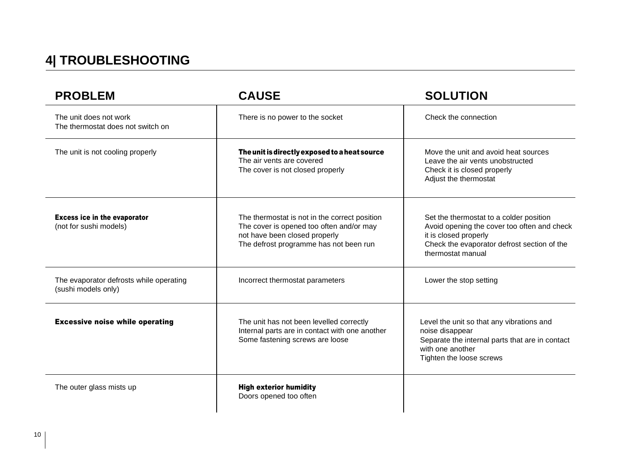# **4| TROUBLESHOOTING**

| <b>PROBLEM</b>                                                 | <b>CAUSE</b>                                                                                                                                                         | <b>SOLUTION</b>                                                                                                                                                                     |
|----------------------------------------------------------------|----------------------------------------------------------------------------------------------------------------------------------------------------------------------|-------------------------------------------------------------------------------------------------------------------------------------------------------------------------------------|
| The unit does not work<br>The thermostat does not switch on    | There is no power to the socket                                                                                                                                      | Check the connection                                                                                                                                                                |
| The unit is not cooling properly                               | The unit is directly exposed to a heat source<br>The air vents are covered<br>The cover is not closed properly                                                       | Move the unit and avoid heat sources<br>Leave the air vents unobstructed<br>Check it is closed properly<br>Adjust the thermostat                                                    |
| <b>Excess ice in the evaporator</b><br>(not for sushi models)  | The thermostat is not in the correct position<br>The cover is opened too often and/or may<br>not have been closed properly<br>The defrost programme has not been run | Set the thermostat to a colder position<br>Avoid opening the cover too often and check<br>it is closed properly<br>Check the evaporator defrost section of the<br>thermostat manual |
| The evaporator defrosts while operating<br>(sushi models only) | Incorrect thermostat parameters                                                                                                                                      | Lower the stop setting                                                                                                                                                              |
| <b>Excessive noise while operating</b>                         | The unit has not been levelled correctly<br>Internal parts are in contact with one another<br>Some fastening screws are loose                                        | Level the unit so that any vibrations and<br>noise disappear<br>Separate the internal parts that are in contact<br>with one another<br>Tighten the loose screws                     |
| The outer glass mists up                                       | <b>High exterior humidity</b><br>Doors opened too often                                                                                                              |                                                                                                                                                                                     |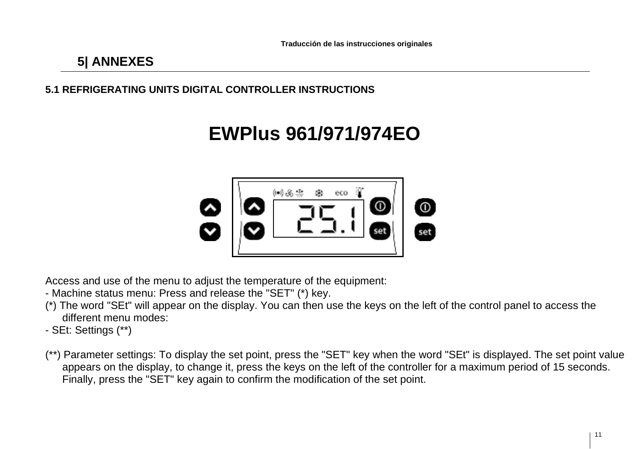# **5| ANNEXES**

# **5.1 REFRIGERATING UNITS DIGITAL CONTROLLER INSTRUCTIONS**

# **EWPlus 961/971/974EO**



Access and use of the menu to adjust the temperature of the equipment:

- Machine status menu: Press and release the "SET" (\*) key.
- (\*) The word "SEt" will appear on the display. You can then use the keys on the left of the control panel to access the different menu modes:
- SEt: Settings (\*\*)
- (\*\*) Parameter settings: To display the set point, press the "SET" key when the word "SEt" is displayed. The set point value appears on the display, to change it, press the keys on the left of the controller for a maximum period of 15 seconds. Finally, press the "SET" key again to confirm the modification of the set point.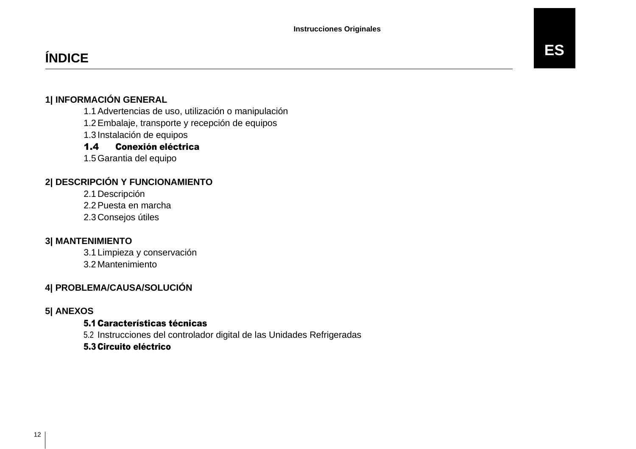# **ÍNDICE**

### **1| INFORMACIÓN GENERAL**

1.1Advertencias de uso, utilización o manipulación

1.2Embalaje, transporte y recepción de equipos

1.3 Instalación de equipos

## 1.4 Conexión eléctrica

1.5Garantia del equipo

## **2| DESCRIPCIÓN Y FUNCIONAMIENTO**

2.1 Descripción

2.2Puesta en marcha

2.3 Consejos útiles

### **3| MANTENIMIENTO**

3.1 Limpieza y conservación 3.2 Mantenimiento

### **4| PROBLEMA/CAUSA/SOLUCIÓN**

### **5| ANEXOS**

### 5.1 Características técnicas

5.2 Instrucciones del controlador digital de las Unidades Refrigeradas

### 5.3 Circuito eléctrico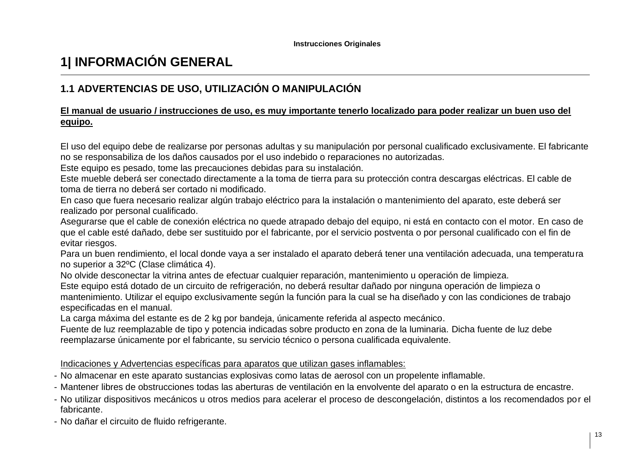# **1| INFORMACIÓN GENERAL**

# **1.1 ADVERTENCIAS DE USO, UTILIZACIÓN O MANIPULACIÓN**

### **El manual de usuario / instrucciones de uso, es muy importante tenerlo localizado para poder realizar un buen uso del equipo.**

El uso del equipo debe de realizarse por personas adultas y su manipulación por personal cualificado exclusivamente. El fabricante no se responsabiliza de los daños causados por el uso indebido o reparaciones no autorizadas.

Este equipo es pesado, tome las precauciones debidas para su instalación.

Este mueble deberá ser conectado directamente a la toma de tierra para su protección contra descargas eléctricas. El cable de toma de tierra no deberá ser cortado ni modificado.

En caso que fuera necesario realizar algún trabajo eléctrico para la instalación o mantenimiento del aparato, este deberá ser realizado por personal cualificado.

Asegurarse que el cable de conexión eléctrica no quede atrapado debajo del equipo, ni está en contacto con el motor. En caso de que el cable esté dañado, debe ser sustituido por el fabricante, por el servicio postventa o por personal cualificado con el fin de evitar riesgos.

Para un buen rendimiento, el local donde vaya a ser instalado el aparato deberá tener una ventilación adecuada, una temperatura no superior a 32ºC (Clase climática 4).

No olvide desconectar la vitrina antes de efectuar cualquier reparación, mantenimiento u operación de limpieza.

Este equipo está dotado de un circuito de refrigeración, no deberá resultar dañado por ninguna operación de limpieza o mantenimiento. Utilizar el equipo exclusivamente según la función para la cual se ha diseñado y con las condiciones de trabajo especificadas en el manual.

La carga máxima del estante es de 2 kg por bandeja, únicamente referida al aspecto mecánico.

Fuente de luz reemplazable de tipo y potencia indicadas sobre producto en zona de la luminaria. Dicha fuente de luz debe reemplazarse únicamente por el fabricante, su servicio técnico o persona cualificada equivalente.

#### Indicaciones y Advertencias específicas para aparatos que utilizan gases inflamables:

- No almacenar en este aparato sustancias explosivas como latas de aerosol con un propelente inflamable.
- Mantener libres de obstrucciones todas las aberturas de ventilación en la envolvente del aparato o en la estructura de encastre.
- No utilizar dispositivos mecánicos u otros medios para acelerar el proceso de descongelación, distintos a los recomendados por el fabricante.

- No dañar el circuito de fluido refrigerante.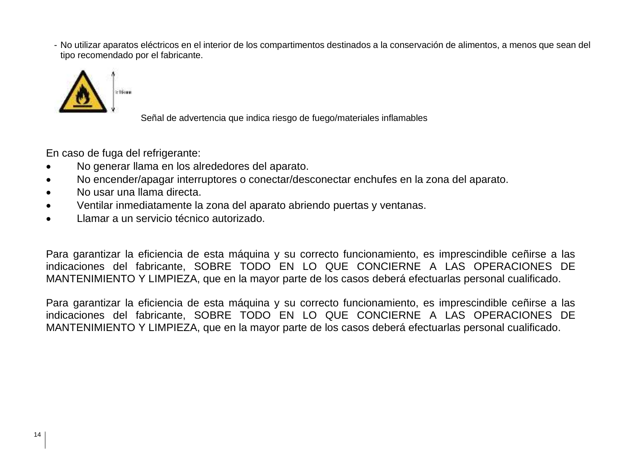- No utilizar aparatos eléctricos en el interior de los compartimentos destinados a la conservación de alimentos, a menos que sean del tipo recomendado por el fabricante.



Señal de advertencia que indica riesgo de fuego/materiales inflamables

En caso de fuga del refrigerante:

- No generar llama en los alrededores del aparato.
- No encender/apagar interruptores o conectar/desconectar enchufes en la zona del aparato.
- No usar una llama directa.
- Ventilar inmediatamente la zona del aparato abriendo puertas y ventanas.
- Llamar a un servicio técnico autorizado.

Para garantizar la eficiencia de esta máquina y su correcto funcionamiento, es imprescindible ceñirse a las indicaciones del fabricante, SOBRE TODO EN LO QUE CONCIERNE A LAS OPERACIONES DE MANTENIMIENTO Y LIMPIEZA, que en la mayor parte de los casos deberá efectuarlas personal cualificado.

Para garantizar la eficiencia de esta máquina y su correcto funcionamiento, es imprescindible ceñirse a las indicaciones del fabricante, SOBRE TODO EN LO QUE CONCIERNE A LAS OPERACIONES DE MANTENIMIENTO Y LIMPIEZA, que en la mayor parte de los casos deberá efectuarlas personal cualificado.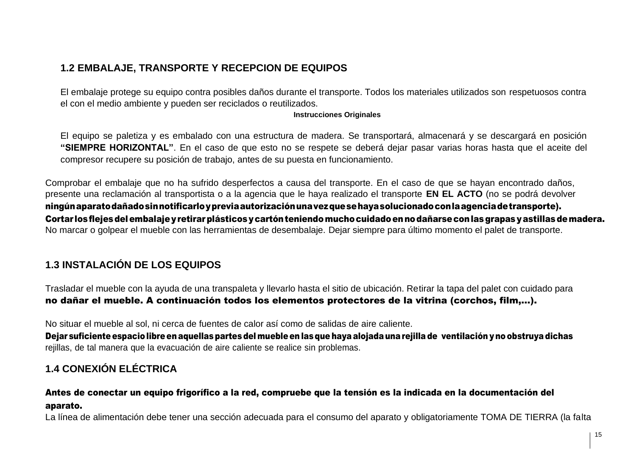# **1.2 EMBALAJE, TRANSPORTE Y RECEPCION DE EQUIPOS**

El embalaje protege su equipo contra posibles daños durante el transporte. Todos los materiales utilizados son respetuosos contra el con el medio ambiente y pueden ser reciclados o reutilizados.

#### **Instrucciones Originales**

El equipo se paletiza y es embalado con una estructura de madera. Se transportará, almacenará y se descargará en posición **"SIEMPRE HORIZONTAL"**. En el caso de que esto no se respete se deberá dejar pasar varias horas hasta que el aceite del compresor recupere su posición de trabajo, antes de su puesta en funcionamiento.

Comprobar el embalaje que no ha sufrido desperfectos a causa del transporte. En el caso de que se hayan encontrado daños, presente una reclamación al transportista o a la agencia que le haya realizado el transporte **EN EL ACTO** (no se podrá devolver ningúnaparatodañadosinnotificarloypreviaautorizaciónunavezquesehayasolucionadoconlaagenciadetransporte). Cortar losflejesdelembalajeyretirarplásticosycartónteniendomuchocuidadoennodañarseconlasgrapasyastillasdemadera. No marcar o golpear el mueble con las herramientas de desembalaje. Dejar siempre para último momento el palet de transporte.

# **1.3 INSTALACIÓN DE LOS EQUIPOS**

Trasladar el mueble con la ayuda de una transpaleta y llevarlo hasta el sitio de ubicación. Retirar la tapa del palet con cuidado para no dañar el mueble. A continuación todos los elementos protectores de la vitrina (corchos, film,…).

No situar el mueble al sol, ni cerca de fuentes de calor así como de salidas de aire caliente.

Dejar suficiente espacio libre en aquellas partes del mueble en las que haya alojada una rejilla de ventilación y no obstruva dichas rejillas, de tal manera que la evacuación de aire caliente se realice sin problemas.

# **1.4 CONEXIÓN ELÉCTRICA**

### Antes de conectar un equipo frigorífico a la red, compruebe que la tensión es la indicada en la documentación del aparato.

La línea de alimentación debe tener una sección adecuada para el consumo del aparato y obligatoriamente TOMA DE TIERRA (la falta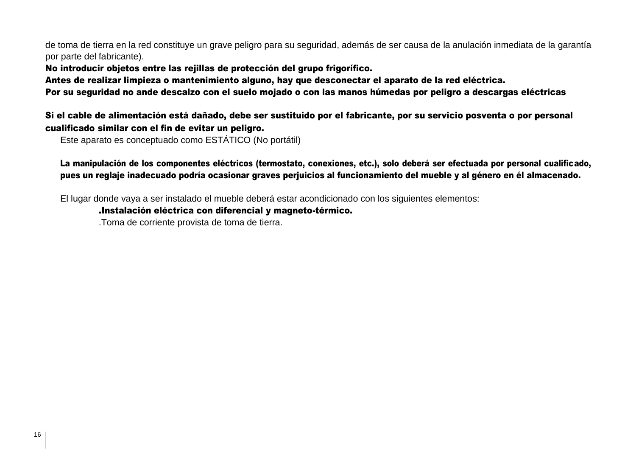de toma de tierra en la red constituye un grave peligro para su seguridad, además de ser causa de la anulación inmediata de la garantía por parte del fabricante).

No introducir objetos entre las rejillas de protección del grupo frigorífico.

Antes de realizar limpieza o mantenimiento alguno, hay que desconectar el aparato de la red eléctrica.

Por su seguridad no ande descalzo con el suelo mojado o con las manos húmedas por peligro a descargas eléctricas

### Si el cable de alimentación está dañado, debe ser sustituido por el fabricante, por su servicio posventa o por personal cualificado similar con el fin de evitar un peligro.

Este aparato es conceptuado como ESTÁTICO (No portátil)

La manipulación de los componentes eléctricos (termostato, conexiones, etc.), solo deberá ser efectuada por personal cualificado, pues un reglaje inadecuado podría ocasionar graves perjuicios al funcionamiento del mueble y al género en él almacenado.

El lugar donde vaya a ser instalado el mueble deberá estar acondicionado con los siguientes elementos:

### .Instalación eléctrica con diferencial y magneto-térmico.

.Toma de corriente provista de toma de tierra.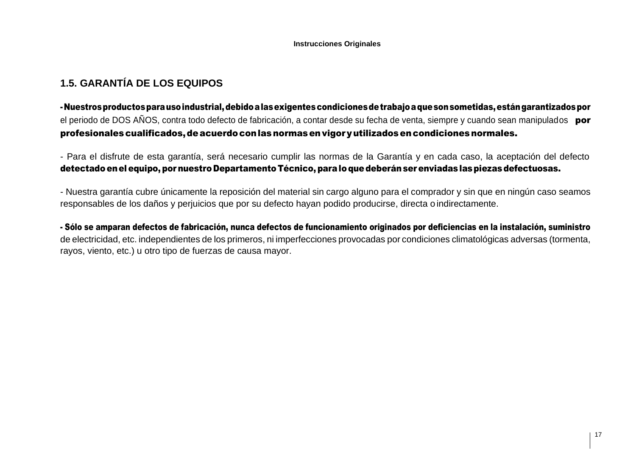# **1.5. GARANTÍA DE LOS EQUIPOS**

-Nuestrosproductosparausoindustrial,debidoalasexigentescondicionesdetrabajoaquesonsometidas,estángarantizadospor el periodo de DOS AÑOS, contra todo defecto de fabricación, a contar desde su fecha de venta, siempre y cuando sean manipulados **por** profesionalescualificados,deacuerdoconlasnormasenvigoryutilizadosencondicionesnormales.

- Para el disfrute de esta garantía, será necesario cumplir las normas de la Garantía y en cada caso, la aceptación del defecto detectadoenel equipo, por nuestroDepartamento Técnico, paraloquedeberánser enviadas laspiezasdefectuosas.

- Nuestra garantía cubre únicamente la reposición del material sin cargo alguno para el comprador y sin que en ningún caso seamos responsables de los daños y perjuicios que por su defecto hayan podido producirse, directa o indirectamente.

- Sólo se amparan defectos de fabricación, nunca defectos de funcionamiento originados por deficiencias en la instalación, suministro de electricidad, etc. independientes de los primeros, ni imperfecciones provocadas por condiciones climatológicas adversas (tormenta, rayos, viento, etc.) u otro tipo de fuerzas de causa mayor.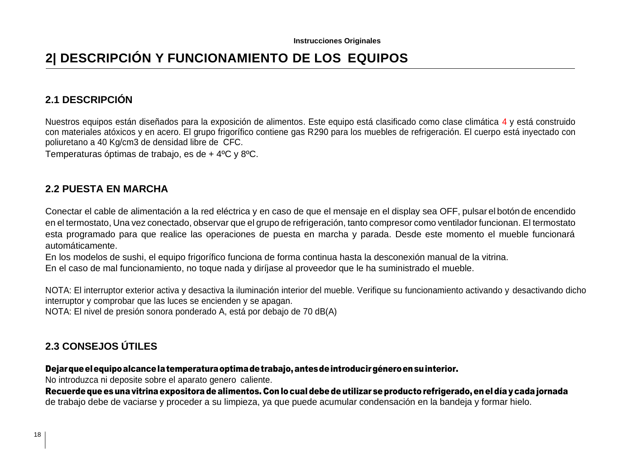# **2| DESCRIPCIÓN Y FUNCIONAMIENTO DE LOS EQUIPOS**

# **2.1 DESCRIPCIÓN**

Nuestros equipos están diseñados para la exposición de alimentos. Este equipo está clasificado como clase climática 4 y está construido con materiales atóxicos y en acero. El grupo frigorífico contiene gas R290 para los muebles de refrigeración. El cuerpo está inyectado con poliuretano a 40 Kg/cm3 de densidad libre de CFC.

Temperaturas óptimas de trabajo, es de + 4ºC y 8ºC.

### **2.2 PUESTA EN MARCHA**

Conectar el cable de alimentación a la red eléctrica y en caso de que el mensaje en el display sea OFF, pulsar el botón de encendido en el termostato, Una vez conectado, observar que el grupo de refrigeración, tanto compresor como ventilador funcionan. El termostato esta programado para que realice las operaciones de puesta en marcha y parada. Desde este momento el mueble funcionará automáticamente.

En los modelos de sushi, el equipo frigorífico funciona de forma continua hasta la desconexión manual de la vitrina. En el caso de mal funcionamiento, no toque nada y diríjase al proveedor que le ha suministrado el mueble.

NOTA: El interruptor exterior activa y desactiva la iluminación interior del mueble. Verifique su funcionamiento activando y desactivando dicho interruptor y comprobar que las luces se encienden y se apagan.

NOTA: El nivel de presión sonora ponderado A, está por debajo de 70 dB(A)

# **2.3 CONSEJOS ÚTILES**

#### Dejarque el equipo alcance la temperatura optima de trabajo, antes de introducir género en su interior.

No introduzca ni deposite sobre el aparato genero caliente.

Recuerde que es una vitrina expositora de alimentos. Con lo cual debe de utilizar se producto refrigerado, en el día y cada jornada de trabajo debe de vaciarse y proceder a su limpieza, ya que puede acumular condensación en la bandeja y formar hielo.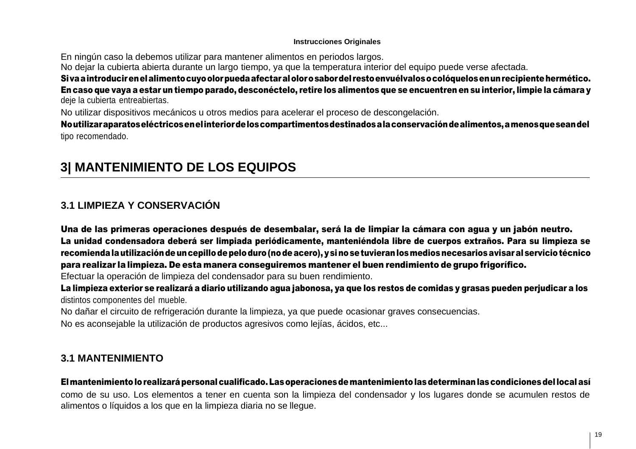#### **Instrucciones Originales**

En ningún caso la debemos utilizar para mantener alimentos en periodos largos.

No dejar la cubierta abierta durante un largo tiempo, ya que la temperatura interior del equipo puede verse afectada.

Sivaaintroducirenelalimentocuyoolorpuedaafectaralolorosabordel restoenvuélvalosocolóquelosenunrecipientehermético. En caso que vaya a estar un tiempo parado, desconéctelo, retire los alimentos que se encuentren en su interior, limpie la cámara y deje la cubierta entreabiertas.

No utilizar dispositivos mecánicos u otros medios para acelerar el proceso de descongelación.

Noutilizaraparatoseléctricosenelinteriordeloscompartimentosdestinadosalaconservacióndealimentos,amenosqueseandel tipo recomendado.

# **3| MANTENIMIENTO DE LOS EQUIPOS**

# **3.1 LIMPIEZA Y CONSERVACIÓN**

Una de las primeras operaciones después de desembalar, será la de limpiar la cámara con agua y un jabón neutro. La unidad condensadora deberá ser limpiada periódicamente, manteniéndola libre de cuerpos extraños. Para su limpieza se recomiendalautilizacióndeuncepillodepeloduro(nodeacero),ysinosetuvieranlosmediosnecesariosavisaralserviciotécnico para realizar la limpieza. De esta manera conseguiremos mantener el buen rendimiento de grupo frigorífico.

Efectuar la operación de limpieza del condensador para su buen rendimiento.

La limpieza exterior se realizará a diario utilizando agua jabonosa, ya que los restos de comidas y grasas pueden periudicar a los distintos componentes del mueble.

No dañar el circuito de refrigeración durante la limpieza, ya que puede ocasionar graves consecuencias.

No es aconsejable la utilización de productos agresivos como lejías, ácidos, etc...

# **3.1 MANTENIMIENTO**

### Elmantenimientolorealizarápersonalcualificado.Lasoperacionesdemantenimientolasdeterminanlascondicionesdellocalasí como de su uso. Los elementos a tener en cuenta son la limpieza del condensador y los lugares donde se acumulen restos de alimentos o líquidos a los que en la limpieza diaria no se llegue.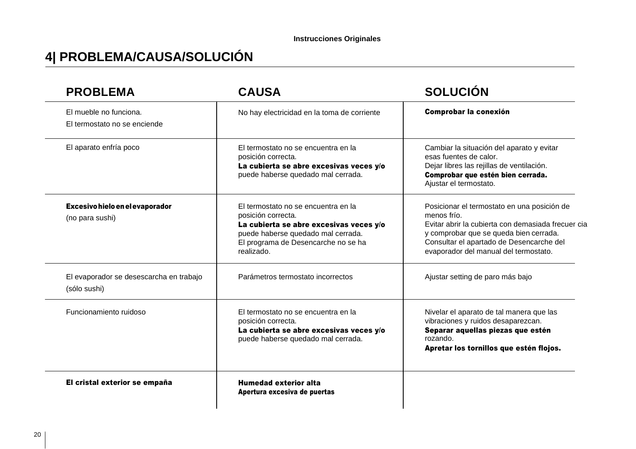# **4| PROBLEMA/CAUSA/SOLUCIÓN**

| <b>PROBLEMA</b>                                         | <b>CAUSA</b>                                                                                                                                                                                    | <b>SOLUCIÓN</b>                                                                                                                                                                                                                                 |
|---------------------------------------------------------|-------------------------------------------------------------------------------------------------------------------------------------------------------------------------------------------------|-------------------------------------------------------------------------------------------------------------------------------------------------------------------------------------------------------------------------------------------------|
| El mueble no funciona.<br>El termostato no se enciende  | No hay electricidad en la toma de corriente                                                                                                                                                     | Comprobar la conexión                                                                                                                                                                                                                           |
| El aparato enfría poco                                  | El termostato no se encuentra en la<br>posición correcta.<br>La cubierta se abre excesivas veces y/o<br>puede haberse quedado mal cerrada.                                                      | Cambiar la situación del aparato y evitar<br>esas fuentes de calor.<br>Dejar libres las rejillas de ventilación.<br>Comprobar que estén bien cerrada.<br>Ajustar el termostato.                                                                 |
| Excesivo hielo en el evaporador<br>(no para sushi)      | El termostato no se encuentra en la<br>posición correcta.<br>La cubierta se abre excesivas veces y/o<br>puede haberse quedado mal cerrada.<br>El programa de Desencarche no se ha<br>realizado. | Posicionar el termostato en una posición de<br>menos frío.<br>Evitar abrir la cubierta con demasiada frecuer cia<br>y comprobar que se queda bien cerrada.<br>Consultar el apartado de Desencarche del<br>evaporador del manual del termostato. |
| El evaporador se desescarcha en trabajo<br>(sólo sushi) | Parámetros termostato incorrectos                                                                                                                                                               | Ajustar setting de paro más bajo                                                                                                                                                                                                                |
| Funcionamiento ruidoso                                  | El termostato no se encuentra en la<br>posición correcta.<br>La cubierta se abre excesivas veces y/o<br>puede haberse quedado mal cerrada.                                                      | Nivelar el aparato de tal manera que las<br>vibraciones y ruidos desaparezcan.<br>Separar aquellas piezas que estén<br>rozando.<br>Apretar los tornillos que estén flojos.                                                                      |
| El cristal exterior se empaña                           | <b>Humedad exterior alta</b><br>Apertura excesiva de puertas                                                                                                                                    |                                                                                                                                                                                                                                                 |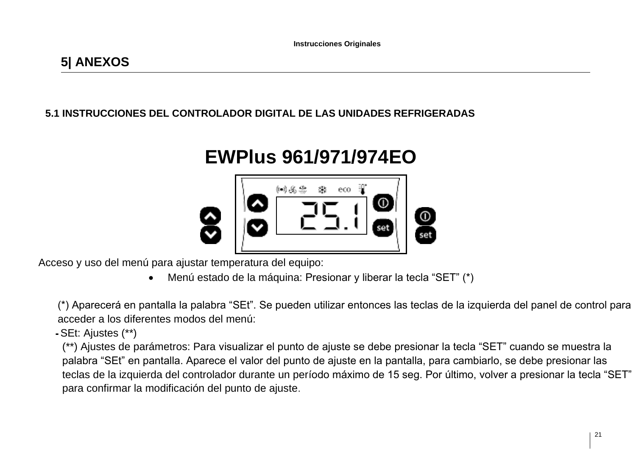**Instrucciones Originales**

# **5.1 INSTRUCCIONES DEL CONTROLADOR DIGITAL DE LAS UNIDADES REFRIGERADAS**

# **EWPlus 961/971/974EO**



Acceso y uso del menú para ajustar temperatura del equipo:

• Menú estado de la máquina: Presionar y liberar la tecla "SET" (\*)

(\*) Aparecerá en pantalla la palabra "SEt". Se pueden utilizar entonces las teclas de la izquierda del panel de control para acceder a los diferentes modos del menú:

- SEt: Ajustes (\*\*)

(\*\*) Ajustes de parámetros: Para visualizar el punto de ajuste se debe presionar la tecla "SET" cuando se muestra la palabra "SEt" en pantalla. Aparece el valor del punto de ajuste en la pantalla, para cambiarlo, se debe presionar las teclas de la izquierda del controlador durante un período máximo de 15 seg. Por último, volver a presionar la tecla "SET" para confirmar la modificación del punto de ajuste.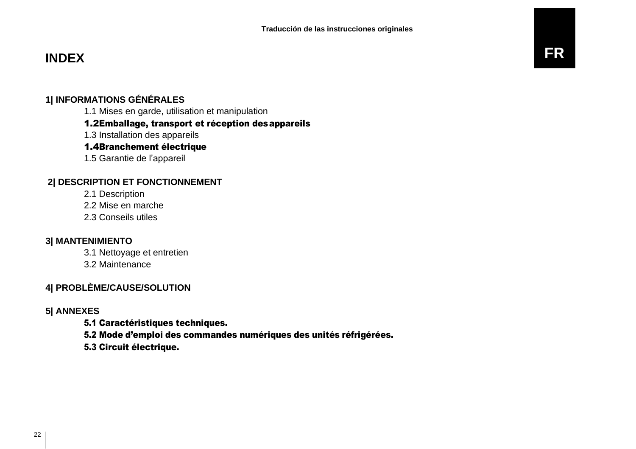# **INDEX**

### **1| INFORMATIONS GÉNÉRALES**

1.1 Mises en garde, utilisation et manipulation

### 1.2Emballage, transport et réception desappareils

1.3 Installation des appareils

### 1.4Branchement électrique

1.5 Garantie de l'appareil

## **2| DESCRIPTION ET FONCTIONNEMENT**

2.1 Description

2.2 Mise en marche

2.3 Conseils utiles

### **3| MANTENIMIENTO**

3.1 Nettoyage et entretien

3.2 Maintenance

### **4| PROBLÈME/CAUSE/SOLUTION**

### **5| ANNEXES**

5.1 Caractéristiques techniques.

5.2 Mode d'emploi des commandes numériques des unités réfrigérées.

5.3 Circuit électrique.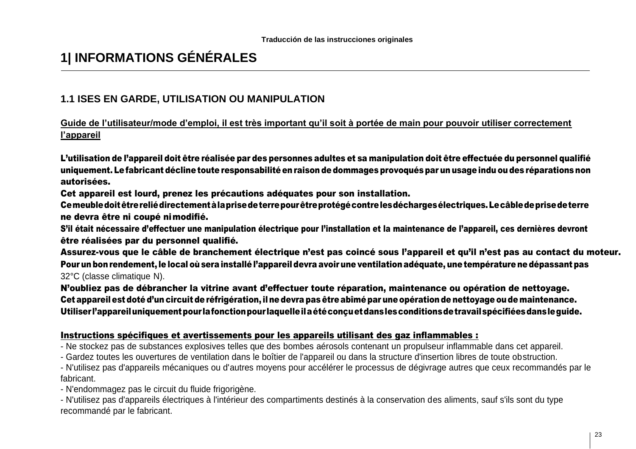# **1| INFORMATIONS GÉNÉRALES**

## **1.1 ISES EN GARDE, UTILISATION OU MANIPULATION**

**Guide de l'utilisateur/mode d'emploi, il est très important qu'il soit à portée de main pour pouvoir utiliser correctement l'appareil**

L'utilisation de l'appareil doit être réalisée par des personnes adultes et sa manipulation doit être effectuée du personnel qualifié uniquement. Le fabricant décline toute responsabilité en raison de dommages provoqués par un usage indu ou des réparations non autorisées.

Cet appareil est lourd, prenez les précautions adéquates pour son installation.

Cemeubledoitêtrereliédirectementàlaprisedeterrepourêtreprotégécontrelesdéchargesélectriques.Lecâbledeprisedeterre ne devra être ni coupé nimodifié.

S'il était nécessaire d'effectuer une manipulation électrique pour l'installation et la maintenance de l'appareil, ces dernières devront être réalisées par du personnel qualifié.

Assurez-vous que le câble de branchement électrique n'est pas coincé sous l'appareil et qu'il n'est pas au contact du moteur. Pour unbonrendement, le local oùsera installé l'appareildevra avoir une ventilationadéquate, unetempérature nedépassant pas 32°C (classe climatique N).

N'oubliez pas de débrancher la vitrine avant d'effectuer toute réparation, maintenance ou opération de nettoyage. Cet appareilest dotéd'un circuit deréfrigération, ilnedevra pas être abîmé par uneopération de nettoyage oude maintenance. Utiliser l'appareiluniquementpour lafonctionpour laquelleilaétéconçuetdanslesconditionsdetravailspécifiéesdansleguide.

#### Instructions spécifiques et avertissements pour les appareils utilisant des gaz inflammables :

- Ne stockez pas de substances explosives telles que des bombes aérosols contenant un propulseur inflammable dans cet appareil.

- Gardez toutes les ouvertures de ventilation dans le boîtier de l'appareil ou dans la structure d'insertion libres de toute obstruction.

- N'utilisez pas d'appareils mécaniques ou d'autres moyens pour accélérer le processus de dégivrage autres que ceux recommandés par le fabricant.

- N'endommagez pas le circuit du fluide frigorigène.

- N'utilisez pas d'appareils électriques à l'intérieur des compartiments destinés à la conservation des aliments, sauf s'ils sont du type recommandé par le fabricant.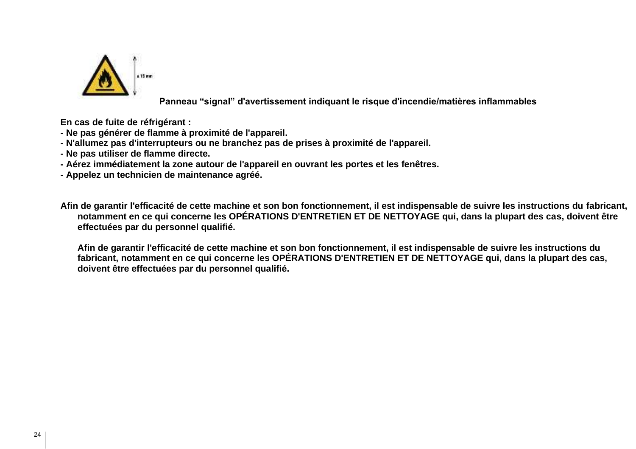

**Panneau "signal" d'avertissement indiquant le risque d'incendie/matières inflammables**

**En cas de fuite de réfrigérant :**

- **- Ne pas générer de flamme à proximité de l'appareil.**
- **- N'allumez pas d'interrupteurs ou ne branchez pas de prises à proximité de l'appareil.**
- **- Ne pas utiliser de flamme directe.**
- **- Aérez immédiatement la zone autour de l'appareil en ouvrant les portes et les fenêtres.**
- **- Appelez un technicien de maintenance agréé.**

**Afin de garantir l'efficacité de cette machine et son bon fonctionnement, il est indispensable de suivre les instructions du fabricant, notamment en ce qui concerne les OPÉRATIONS D'ENTRETIEN ET DE NETTOYAGE qui, dans la plupart des cas, doivent être effectuées par du personnel qualifié.**

**Afin de garantir l'efficacité de cette machine et son bon fonctionnement, il est indispensable de suivre les instructions du fabricant, notamment en ce qui concerne les OPÉRATIONS D'ENTRETIEN ET DE NETTOYAGE qui, dans la plupart des cas, doivent être effectuées par du personnel qualifié.**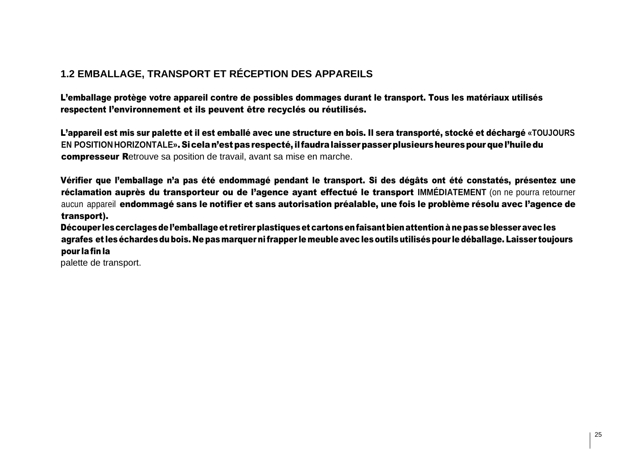# **1.2 EMBALLAGE, TRANSPORT ET RÉCEPTION DES APPAREILS**

L'emballage protège votre appareil contre de possibles dommages durant le transport. Tous les matériaux utilisés respectent l'environnement et ils peuvent être recyclés ou réutilisés.

L'appareil est mis sur palette et il est emballé avec une structure en bois. Il sera transporté, stocké et déchargé **«TOUJOURS EN POSITION HORIZONTALE»**. Sicelan'estpasrespecté,ilfaudralaisserpasserplusieursheurespourquel'huiledu compresseur Retrouve sa position de travail, avant sa mise en marche.

Vérifier que l'emballage n'a pas été endommagé pendant le transport. Si des dégâts ont été constatés, présentez une réclamation auprès du transporteur ou de l'agence ayant effectué le transport **IMMÉDIATEMENT** (on ne pourra retourner aucun appareil endommagé sans le notifier et sans autorisation préalable, une fois le problème résolu avec l'agence de transport).

Découper lescerclagesdel'emballageet retirerplastiquesetcartonsenfaisantbienattention ànepasseblesseravecles agrafes et leséchardesdubois. Nepasmarquer nifrapper lemeubleavec lesoutilsutiliséspour ledéballage. Laisser toujours pour lafinla

palette de transport.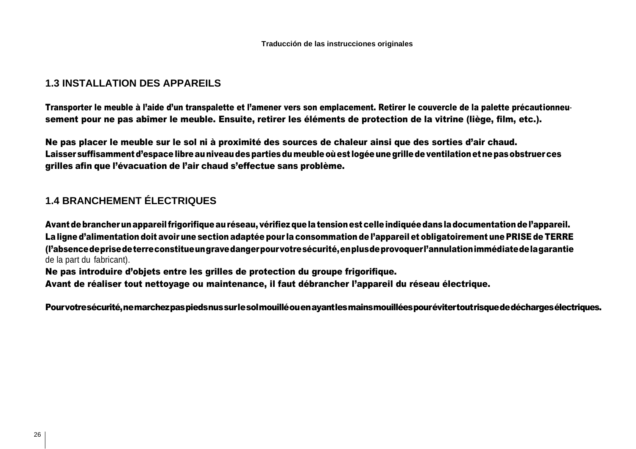### **1.3 INSTALLATION DES APPAREILS**

Transporter le meuble à l'aide d'un transpalette et l'amener vers son emplacement. Retirer le couvercle de la palette précautionneusement pour ne pas abîmer le meuble. Ensuite, retirer les éléments de protection de la vitrine (liège, film, etc.).

Ne pas placer le meuble sur le sol ni à proximité des sources de chaleur ainsi que des sorties d'air chaud. Laisser suffisammentd'espacelibreauniveaudespartiesdumeubleoùest logéeunegrilledeventilationetnepasobstruerces grilles afin que l'évacuation de l'air chaud s'effectue sans problème.

# **1.4 BRANCHEMENT ÉLECTRIQUES**

Avantdebrancherunappareilfrigorifiqueauréseau, vérifiezquelatensionestcelleindiquéedansladocumentationdel'appareil. Laligne d'alimentation doit avoir une section adaptée pour la consommation de l'appareil et obligatoirement une PRISE de TERRE (l'absencedeprisedeterreconstitueungravedangerpourvotresécurité,enplusdeprovoquerl'annulationimmédiatedelagarantie de la part du fabricant).

Ne pas introduire d'objets entre les grilles de protection du groupe frigorifique.

Avant de réaliser tout nettoyage ou maintenance, il faut débrancher l'appareil du réseau électrique.

Pourvotresécurité,nemarchezpaspiedsnussurlesolmouilléouenayantlesmainsmouilléespourévitertoutrisquededéchargesélectriques.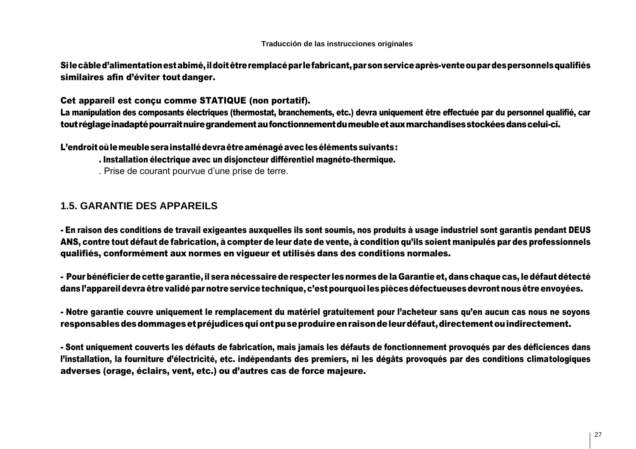**Traducción de las instrucciones originales**

Silecâbled'alimentationestabîmé,ildoitêtreremplacépar lefabricant,parsonserviceaprès-venteoupardespersonnelsqualifiés similaires afin d'éviter tout danger.

Cet appareil est conçu comme STATIQUE (non portatif).

La manipulation des composants électriques (thermostat, branchements, etc.) devra uniquement être effectuée par du personnel qualifié, car toutréglageinadaptépourraitnuiregrandementaufonctionnementdumeubleetauxmarchandisesstockéesdanscelui-ci.

L'endroitoùlemeubleserainstallédevraêtreaménagéaveclesélémentssuivants:

. Installation électrique avec un disjoncteur différentiel magnéto-thermique.

. Prise de courant pourvue d'une prise de terre.

### **1.5. GARANTIE DES APPAREILS**

- En raison des conditions de travail exigeantes auxquelles ils sont soumis, nos produits à usage industriel sont garantis pendant DEUS ANS, contre tout défaut de fabrication, à compter de leur date de vente, à condition qu'ils soient manipulés par des professionnels qualifiés, conformément aux normes en vigueur et utilisés dans des conditions normales.

- Pour bénéficier decette garantie, il seranécessaire derespecter lesnormesdela Garantieet, danschaque cas, ledéfaut détecté dans l'appareil devra être validé par notre service technique, c'est pourquoi les pièces défectueuses devront nous être envoyées.

- Notre garantie couvre uniquement le remplacement du matériel gratuitement pour l'acheteur sans qu'en aucun cas nous ne soyons responsablesdesdommagesetpréjudicesquiontpuseproduireenraisondeleurdéfaut,directementouindirectement.

- Sont uniquement couverts les défauts de fabrication, mais jamais les défauts de fonctionnement provoqués par des déficiences dans l'installation, la fourniture d'électricité, etc. indépendants des premiers, ni les dégâts provoqués par des conditions climatologiques adverses (orage, éclairs, vent, etc.) ou d'autres cas de force majeure.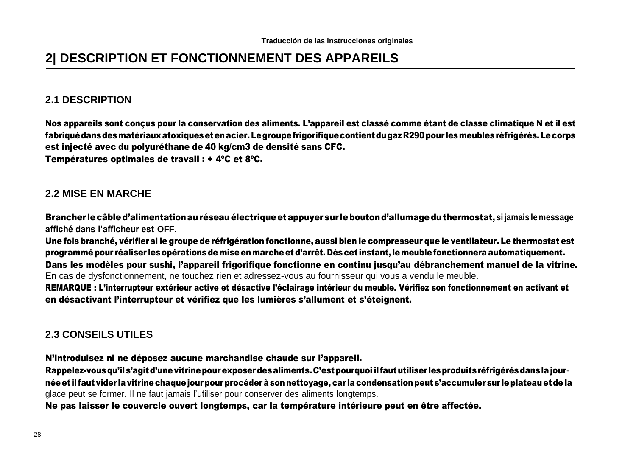# **2| DESCRIPTION ET FONCTIONNEMENT DES APPAREILS**

### **2.1 DESCRIPTION**

Nos appareils sont conçus pour la conservation des aliments. L'appareil est classé comme étant de classe climatique N et il est fabriquédansdesmatériauxatoxiquesetenacier.LegroupefrigorifiquecontientdugazR290pour lesmeublesréfrigérés.Lecorps est injecté avec du polyuréthane de 40 kg/cm3 de densité sans CFC.

Températures optimales de travail : + 4ºC et 8ºC.

### **2.2 MISE EN MARCHE**

Brancher lecâbled'alimentationauréseauélectriqueetappuyer sur leboutond'allumageduthermostat, **si jamais lemessage affiché dans l'afficheur est OFF**.

Une fois branché, vérifier si le groupe de réfrigération fonctionne, aussi bien le compresseur que le ventilateur. Le thermostat est programmé pour réaliser lesopérationsde miseenmarcheet d'arrêt. Dèscet instant, lemeublefonctionnera automatiquement. Dans les modèles pour sushi, l'appareil frigorifique fonctionne en continu jusqu'au débranchement manuel de la vitrine. En cas de dysfonctionnement, ne touchez rien et adressez-vous au fournisseur qui vous a vendu le meuble.

REMARQUE : L'interrupteur extérieur active et désactive l'éclairage intérieur du meuble. Vérifiez son fonctionnement en activant et en désactivant l'interrupteur et vérifiez que les lumières s'allument et s'éteignent.

### **2.3 CONSEILS UTILES**

N'introduisez ni ne déposez aucune marchandise chaude sur l'appareil.

Rappelez-vousqu'ils'agitd'unevitrinepourexposerdesaliments.C'estpourquoiilfaututiliser lesproduitsréfrigérésdanslajournéeet ilfaut vider lavitrinechaquejourpourprocéderàsonnettoyage, car la condensationpeut s'accumuler sur leplateauetdela glace peut se former. Il ne faut jamais l'utiliser pour conserver des aliments longtemps.

Ne pas laisser le couvercle ouvert longtemps, car la température intérieure peut en être affectée.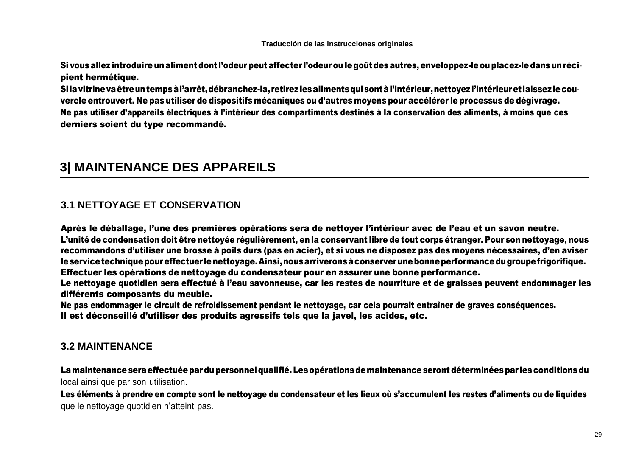Si vousallez introduire unaliment dont l'odeur peutaffecter l'odeuroulegoût desautres, enveloppez-leou placez-ledansunrécipient hermétique.

Silavitrinevaêtreuntempsàl'arrêt,débranchez-la, retirez lesalimentsquisontàl'intérieur,nettoyezl'intérieuret laissez lecouvercle entrouvert. Ne pas utiliser de dispositifs mécaniques ou d'autres moyens pour accélérer le processus de dégivrage. Ne pas utiliser d'appareils électriques à l'intérieur des compartiments destinés à la conservation des aliments, à moins que ces derniers soient du type recommandé.

# **3| MAINTENANCE DES APPAREILS**

### **3.1 NETTOYAGE ET CONSERVATION**

Après le déballage, l'une des premières opérations sera de nettoyer l'intérieur avec de l'eau et un savon neutre. L'unité de condensation doit être nettoyée régulièrement, en la conservant libre de tout corps étranger. Pour son nettoyage, nous recommandons d'utiliser une brosse à poils durs (pas en acier), et si vous ne disposez pas des moyens nécessaires, d'en aviser le service technique pour effectuer le nettoyage. Ainsi, nous arriverons à conserver une bonne performance du groupe frigorifique. Effectuer les opérations de nettoyage du condensateur pour en assurer une bonne performance.

Le nettoyage quotidien sera effectué à l'eau savonneuse, car les restes de nourriture et de graisses peuvent endommager les différents composants du meuble.

Ne pas endommager le circuit de refroidissement pendant le nettoyage, car cela pourrait entraîner de graves conséquences.

Il est déconseillé d'utiliser des produits agressifs tels que la javel, les acides, etc.

### **3.2 MAINTENANCE**

Lamaintenanceseraeffectuéepardupersonnelqualifié.Lesopérationsdemaintenanceseront déterminéespar lesconditionsdu local ainsi que par son utilisation.

Les éléments à prendre en compte sont le nettoyage du condensateur et les lieux où s'accumulent les restes d'aliments ou de liquides que le nettoyage quotidien n'atteint pas.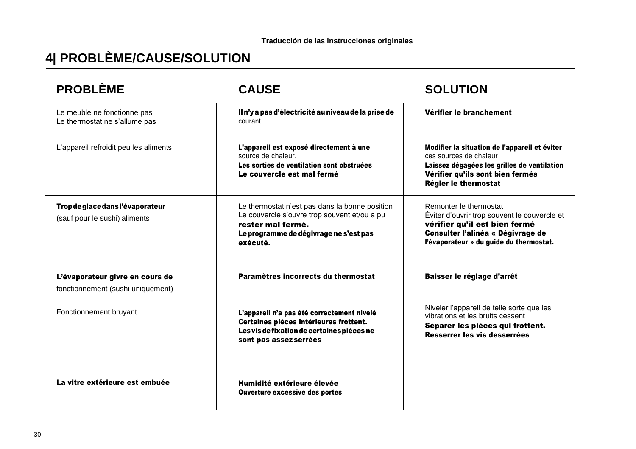# **4| PROBLÈME/CAUSE/SOLUTION**

| <b>PROBLÈME</b>                                                      | <b>CAUSE</b>                                                                                                                                                              | <b>SOLUTION</b>                                                                                                                                                                         |
|----------------------------------------------------------------------|---------------------------------------------------------------------------------------------------------------------------------------------------------------------------|-----------------------------------------------------------------------------------------------------------------------------------------------------------------------------------------|
| Le meuble ne fonctionne pas<br>Le thermostat ne s'allume pas         | Il n'y a pas d'électricité au niveau de la prise de<br>courant                                                                                                            | Vérifier le branchement                                                                                                                                                                 |
| L'appareil refroidit peu les aliments                                | L'appareil est exposé directement à une<br>source de chaleur.<br>Les sorties de ventilation sont obstruées<br>Le couvercle est mal fermé                                  | Modifier la situation de l'appareil et éviter<br>ces sources de chaleur<br>Laissez dégagées les grilles de ventilation<br>Vérifier qu'ils sont bien fermés<br>Régler le thermostat      |
| Trop de glace dans l'évaporateur<br>(sauf pour le sushi) aliments    | Le thermostat n'est pas dans la bonne position<br>Le couvercle s'ouvre trop souvent et/ou a pu<br>rester mal fermé.<br>Le programme de dégivrage ne s'est pas<br>exécuté. | Remonter le thermostat<br>Éviter d'ouvrir trop souvent le couvercle et<br>vérifier qu'il est bien fermé<br>Consulter l'alinéa « Dégivrage de<br>l'évaporateur » du guide du thermostat. |
| L'évaporateur givre en cours de<br>fonctionnement (sushi uniquement) | Paramètres incorrects du thermostat                                                                                                                                       | Baisser le réglage d'arrêt                                                                                                                                                              |
| Fonctionnement bruyant                                               | L'appareil n'a pas été correctement nivelé<br>Certaines pièces intérieures frottent.<br>Les vis de fixation de certaines pièces ne<br>sont pas assez serrées              | Niveler l'appareil de telle sorte que les<br>vibrations et les bruits cessent<br>Séparer les pièces qui frottent.<br>Resserrer les vis desserrées                                       |
| La vitre extérieure est embuée                                       | Humidité extérieure élevée<br><b>Ouverture excessive des portes</b>                                                                                                       |                                                                                                                                                                                         |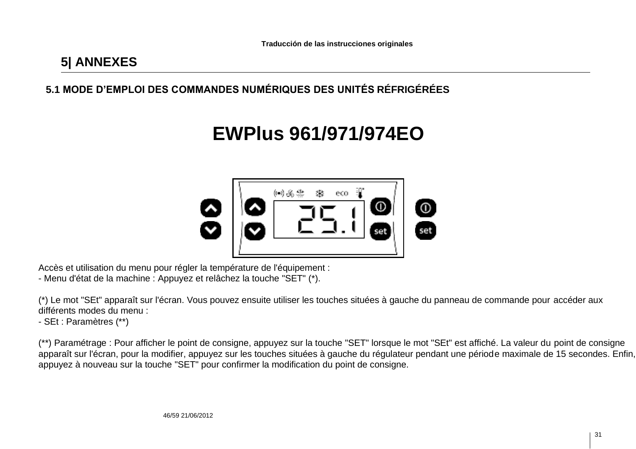# **5| ANNEXES**

# **5.1 MODE D'EMPLOI DES COMMANDES NUMÉRIQUES DES UNITÉS RÉFRIGÉRÉES**

# **EWPlus 961/971/974EO**



Accès et utilisation du menu pour régler la température de l'équipement :

- Menu d'état de la machine : Appuyez et relâchez la touche "SET" (\*).

(\*) Le mot "SEt" apparaît sur l'écran. Vous pouvez ensuite utiliser les touches situées à gauche du panneau de commande pour accéder aux différents modes du menu :

- SEt : Paramètres (\*\*)

(\*\*) Paramétrage : Pour afficher le point de consigne, appuyez sur la touche "SET" lorsque le mot "SEt" est affiché. La valeur du point de consigne apparaît sur l'écran, pour la modifier, appuyez sur les touches situées à gauche du régulateur pendant une période maximale de 15 secondes. Enfin, appuyez à nouveau sur la touche "SET" pour confirmer la modification du point de consigne.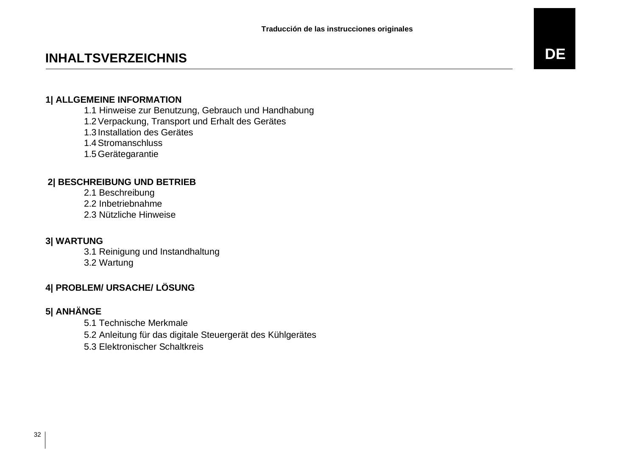# **INHALTSVERZEICHNIS**

### **1| ALLGEMEINE INFORMATION**

1.1 Hinweise zur Benutzung, Gebrauch und Handhabung

1.2Verpackung, Transport und Erhalt des Gerätes

1.3 Installation des Gerätes

1.4Stromanschluss

1.5 Gerätegarantie

### **2| BESCHREIBUNG UND BETRIEB**

2.1 Beschreibung

2.2 Inbetriebnahme

2.3 Nützliche Hinweise

### **3| WARTUNG**

3.1 Reinigung und Instandhaltung 3.2 Wartung

### **4| PROBLEM/ URSACHE/ LÖSUNG**

## **5| ANHÄNGE**

5.1 Technische Merkmale

5.2 Anleitung für das digitale Steuergerät des Kühlgerätes

5.3 Elektronischer Schaltkreis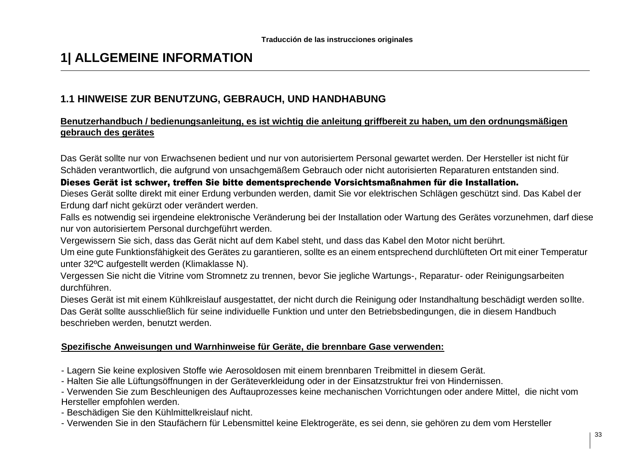# **1| ALLGEMEINE INFORMATION**

## **1.1 HINWEISE ZUR BENUTZUNG, GEBRAUCH, UND HANDHABUNG**

### **Benutzerhandbuch / bedienungsanleitung, es ist wichtig die anleitung griffbereit zu haben, um den ordnungsmäßigen gebrauch des gerätes**

Das Gerät sollte nur von Erwachsenen bedient und nur von autorisiertem Personal gewartet werden. Der Hersteller ist nicht für Schäden verantwortlich, die aufgrund von unsachgemäßem Gebrauch oder nicht autorisierten Reparaturen entstanden sind.

#### Dieses Gerät ist schwer, treffen Sie bitte dementsprechende Vorsichtsmaßnahmen für die Installation.

Dieses Gerät sollte direkt mit einer Erdung verbunden werden, damit Sie vor elektrischen Schlägen geschützt sind. Das Kabel der Erdung darf nicht gekürzt oder verändert werden.

Falls es notwendig sei irgendeine elektronische Veränderung bei der Installation oder Wartung des Gerätes vorzunehmen, darf diese nur von autorisiertem Personal durchgeführt werden.

Vergewissern Sie sich, dass das Gerät nicht auf dem Kabel steht, und dass das Kabel den Motor nicht berührt.

Um eine gute Funktionsfähigkeit des Gerätes zu garantieren, sollte es an einem entsprechend durchlüfteten Ort mit einer Temperatur unter 32ºC aufgestellt werden (Klimaklasse N).

Vergessen Sie nicht die Vitrine vom Stromnetz zu trennen, bevor Sie jegliche Wartungs-, Reparatur- oder Reinigungsarbeiten durchführen.

Dieses Gerät ist mit einem Kühlkreislauf ausgestattet, der nicht durch die Reinigung oder Instandhaltung beschädigt werden sollte. Das Gerät sollte ausschließlich für seine individuelle Funktion und unter den Betriebsbedingungen, die in diesem Handbuch beschrieben werden, benutzt werden.

#### **Spezifische Anweisungen und Warnhinweise für Geräte, die brennbare Gase verwenden:**

- Lagern Sie keine explosiven Stoffe wie Aerosoldosen mit einem brennbaren Treibmittel in diesem Gerät.
- Halten Sie alle Lüftungsöffnungen in der Geräteverkleidung oder in der Einsatzstruktur frei von Hindernissen.

- Verwenden Sie zum Beschleunigen des Auftauprozesses keine mechanischen Vorrichtungen oder andere Mittel, die nicht vom Hersteller empfohlen werden.

- Beschädigen Sie den Kühlmittelkreislauf nicht.
- Verwenden Sie in den Staufächern für Lebensmittel keine Elektrogeräte, es sei denn, sie gehören zu dem vom Hersteller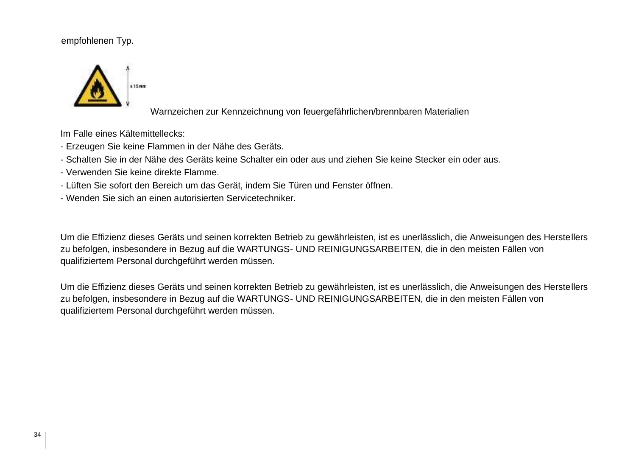### empfohlenen Typ.



Warnzeichen zur Kennzeichnung von feuergefährlichen/brennbaren Materialien

Im Falle eines Kältemittellecks:

- Erzeugen Sie keine Flammen in der Nähe des Geräts.
- Schalten Sie in der Nähe des Geräts keine Schalter ein oder aus und ziehen Sie keine Stecker ein oder aus.
- Verwenden Sie keine direkte Flamme.
- Lüften Sie sofort den Bereich um das Gerät, indem Sie Türen und Fenster öffnen.
- Wenden Sie sich an einen autorisierten Servicetechniker.

Um die Effizienz dieses Geräts und seinen korrekten Betrieb zu gewährleisten, ist es unerlässlich, die Anweisungen des Herstellers zu befolgen, insbesondere in Bezug auf die WARTUNGS- UND REINIGUNGSARBEITEN, die in den meisten Fällen von qualifiziertem Personal durchgeführt werden müssen.

Um die Effizienz dieses Geräts und seinen korrekten Betrieb zu gewährleisten, ist es unerlässlich, die Anweisungen des Herstellers zu befolgen, insbesondere in Bezug auf die WARTUNGS- UND REINIGUNGSARBEITEN, die in den meisten Fällen von qualifiziertem Personal durchgeführt werden müssen.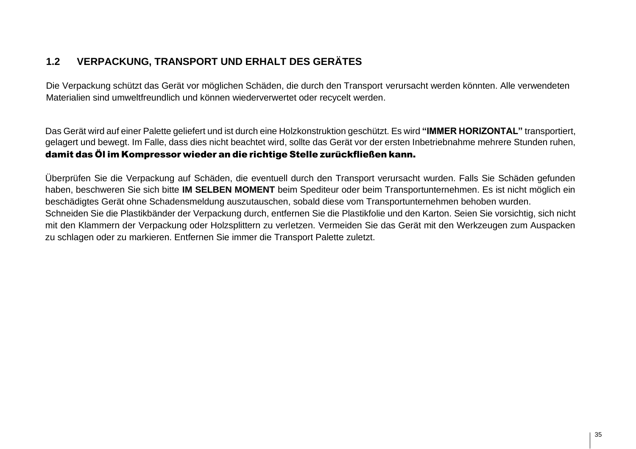# **1.2 VERPACKUNG, TRANSPORT UND ERHALT DES GERÄTES**

Die Verpackung schützt das Gerät vor möglichen Schäden, die durch den Transport verursacht werden könnten. Alle verwendeten Materialien sind umweltfreundlich und können wiederverwertet oder recycelt werden.

Das Gerät wird auf einer Palette geliefert und ist durch eine Holzkonstruktion geschützt. Es wird **"IMMER HORIZONTAL"** transportiert, gelagert und bewegt. Im Falle, dass dies nicht beachtet wird, sollte das Gerät vor der ersten Inbetriebnahme mehrere Stunden ruhen, damit das Öl im Kompressor wieder an die richtige Stelle zurückfließen kann.

Überprüfen Sie die Verpackung auf Schäden, die eventuell durch den Transport verursacht wurden. Falls Sie Schäden gefunden haben, beschweren Sie sich bitte **IM SELBEN MOMENT** beim Spediteur oder beim Transportunternehmen. Es ist nicht möglich ein beschädigtes Gerät ohne Schadensmeldung auszutauschen, sobald diese vom Transportunternehmen behoben wurden. Schneiden Sie die Plastikbänder der Verpackung durch, entfernen Sie die Plastikfolie und den Karton. Seien Sie vorsichtig, sich nicht mit den Klammern der Verpackung oder Holzsplittern zu verletzen. Vermeiden Sie das Gerät mit den Werkzeugen zum Auspacken zu schlagen oder zu markieren. Entfernen Sie immer die Transport Palette zuletzt.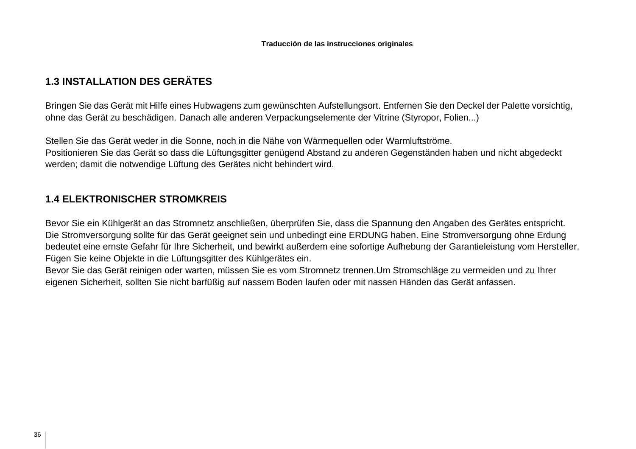# **1.3 INSTALLATION DES GERÄTES**

Bringen Sie das Gerät mit Hilfe eines Hubwagens zum gewünschten Aufstellungsort. Entfernen Sie den Deckel der Palette vorsichtig, ohne das Gerät zu beschädigen. Danach alle anderen Verpackungselemente der Vitrine (Styropor, Folien...)

Stellen Sie das Gerät weder in die Sonne, noch in die Nähe von Wärmequellen oder Warmluftströme. Positionieren Sie das Gerät so dass die Lüftungsgitter genügend Abstand zu anderen Gegenständen haben und nicht abgedeckt werden; damit die notwendige Lüftung des Gerätes nicht behindert wird.

## **1.4 ELEKTRONISCHER STROMKREIS**

Bevor Sie ein Kühlgerät an das Stromnetz anschließen, überprüfen Sie, dass die Spannung den Angaben des Gerätes entspricht. Die Stromversorgung sollte für das Gerät geeignet sein und unbedingt eine ERDUNG haben. Eine Stromversorgung ohne Erdung bedeutet eine ernste Gefahr für Ihre Sicherheit, und bewirkt außerdem eine sofortige Aufhebung der Garantieleistung vom Hersteller. Fügen Sie keine Objekte in die Lüftungsgitter des Kühlgerätes ein.

Bevor Sie das Gerät reinigen oder warten, müssen Sie es vom Stromnetz trennen.Um Stromschläge zu vermeiden und zu Ihrer eigenen Sicherheit, sollten Sie nicht barfüßig auf nassem Boden laufen oder mit nassen Händen das Gerät anfassen.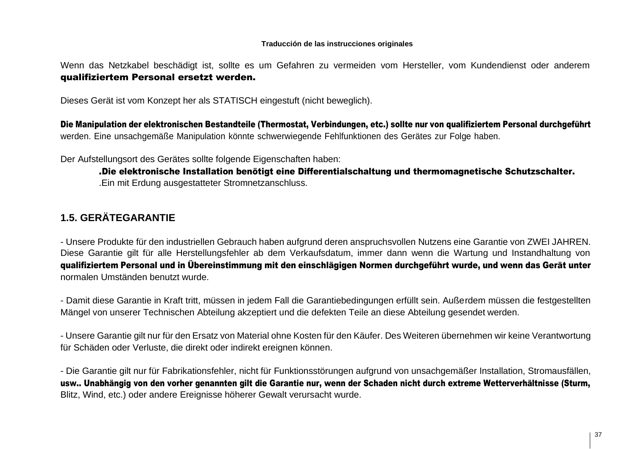#### **Traducción de las instrucciones originales**

Wenn das Netzkabel beschädigt ist, sollte es um Gefahren zu vermeiden vom Hersteller, vom Kundendienst oder anderem qualifiziertem Personal ersetzt werden.

Dieses Gerät ist vom Konzept her als STATISCH eingestuft (nicht beweglich).

Die Manipulation der elektronischen Bestandteile (Thermostat, Verbindungen, etc.) sollte nur von qualifiziertem Personal durchgeführt werden. Eine unsachgemäße Manipulation könnte schwerwiegende Fehlfunktionen des Gerätes zur Folge haben.

Der Aufstellungsort des Gerätes sollte folgende Eigenschaften haben:

.Die elektronische Installation benötigt eine Differentialschaltung und thermomagnetische Schutzschalter. .Ein mit Erdung ausgestatteter Stromnetzanschluss.

# **1.5. GERÄTEGARANTIE**

- Unsere Produkte für den industriellen Gebrauch haben aufgrund deren anspruchsvollen Nutzens eine Garantie von ZWEI JAHREN. Diese Garantie gilt für alle Herstellungsfehler ab dem Verkaufsdatum, immer dann wenn die Wartung und Instandhaltung von qualifiziertem Personal und in Übereinstimmung mit den einschlägigen Normen durchgeführt wurde, und wenn das Gerät unter normalen Umständen benutzt wurde.

- Damit diese Garantie in Kraft tritt, müssen in jedem Fall die Garantiebedingungen erfüllt sein. Außerdem müssen die festgestellten Mängel von unserer Technischen Abteilung akzeptiert und die defekten Teile an diese Abteilung gesendet werden.

- Unsere Garantie gilt nur für den Ersatz von Material ohne Kosten für den Käufer. Des Weiteren übernehmen wir keine Verantwortung für Schäden oder Verluste, die direkt oder indirekt ereignen können.

- Die Garantie gilt nur für Fabrikationsfehler, nicht für Funktionsstörungen aufgrund von unsachgemäßer Installation, Stromausfällen, usw.. Unabhängig von den vorher genannten gilt die Garantie nur, wenn der Schaden nicht durch extreme Wetterverhältnisse (Sturm, Blitz, Wind, etc.) oder andere Ereignisse höherer Gewalt verursacht wurde.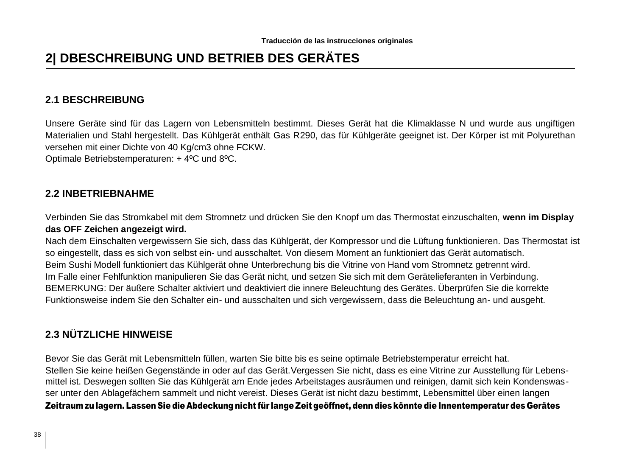# **2| DBESCHREIBUNG UND BETRIEB DES GERÄTES**

### **2.1 BESCHREIBUNG**

Unsere Geräte sind für das Lagern von Lebensmitteln bestimmt. Dieses Gerät hat die Klimaklasse N und wurde aus ungiftigen Materialien und Stahl hergestellt. Das Kühlgerät enthält Gas R290, das für Kühlgeräte geeignet ist. Der Körper ist mit Polyurethan versehen mit einer Dichte von 40 Kg/cm3 ohne FCKW.

Optimale Betriebstemperaturen: + 4ºC und 8ºC.

### **2.2 INBETRIEBNAHME**

Verbinden Sie das Stromkabel mit dem Stromnetz und drücken Sie den Knopf um das Thermostat einzuschalten, **wenn im Display das OFF Zeichen angezeigt wird.**

Nach dem Einschalten vergewissern Sie sich, dass das Kühlgerät, der Kompressor und die Lüftung funktionieren. Das Thermostat ist so eingestellt, dass es sich von selbst ein- und ausschaltet. Von diesem Moment an funktioniert das Gerät automatisch. Beim Sushi Modell funktioniert das Kühlgerät ohne Unterbrechung bis die Vitrine von Hand vom Stromnetz getrennt wird. Im Falle einer Fehlfunktion manipulieren Sie das Gerät nicht, und setzen Sie sich mit dem Gerätelieferanten in Verbindung. BEMERKUNG: Der äußere Schalter aktiviert und deaktiviert die innere Beleuchtung des Gerätes. Überprüfen Sie die korrekte Funktionsweise indem Sie den Schalter ein- und ausschalten und sich vergewissern, dass die Beleuchtung an- und ausgeht.

# **2.3 NÜTZLICHE HINWEISE**

Bevor Sie das Gerät mit Lebensmitteln füllen, warten Sie bitte bis es seine optimale Betriebstemperatur erreicht hat. Stellen Sie keine heißen Gegenstände in oder auf das Gerät.Vergessen Sie nicht, dass es eine Vitrine zur Ausstellung für Lebensmittel ist. Deswegen sollten Sie das Kühlgerät am Ende jedes Arbeitstages ausräumen und reinigen, damit sich kein Kondenswasser unter den Ablagefächern sammelt und nicht vereist. Dieses Gerät ist nicht dazu bestimmt, Lebensmittel über einen langen

Zeitraum zu lagern. Lassen Sie die Abdeckung nicht für lange Zeit geöffnet, denn dies könnte die Innentemperatur des Gerätes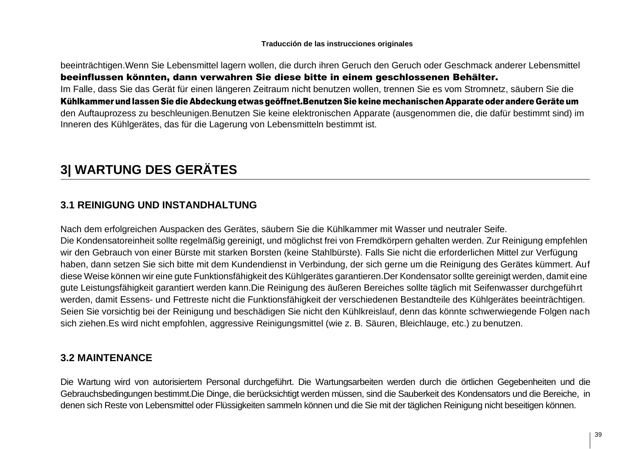#### **Traducción de las instrucciones originales**

beeinträchtigen.Wenn Sie Lebensmittel lagern wollen, die durch ihren Geruch den Geruch oder Geschmack anderer Lebensmittel beeinflussen könnten, dann verwahren Sie diese bitte in einem geschlossenen Behälter.

Im Falle, dass Sie das Gerät für einen längeren Zeitraum nicht benutzen wollen, trennen Sie es vom Stromnetz, säubern Sie die Kühlkammer undlassen Sie die Abdeckung etwasgeöffnet.Benutzen Sie keine mechanischen Apparate oder andere Geräte um den Auftauprozess zu beschleunigen.Benutzen Sie keine elektronischen Apparate (ausgenommen die, die dafür bestimmt sind) im Inneren des Kühlgerätes, das für die Lagerung von Lebensmitteln bestimmt ist.

# **3| WARTUNG DES GERÄTES**

# **3.1 REINIGUNG UND INSTANDHALTUNG**

Nach dem erfolgreichen Auspacken des Gerätes, säubern Sie die Kühlkammer mit Wasser und neutraler Seife. Die Kondensatoreinheit sollte regelmäßig gereinigt, und möglichst frei von Fremdkörpern gehalten werden. Zur Reinigung empfehlen wir den Gebrauch von einer Bürste mit starken Borsten (keine Stahlbürste). Falls Sie nicht die erforderlichen Mittel zur Verfügung haben, dann setzen Sie sich bitte mit dem Kundendienst in Verbindung, der sich gerne um die Reinigung des Gerätes kümmert. Auf diese Weise können wir eine gute Funktionsfähigkeit des Kühlgerätes garantieren.Der Kondensator sollte gereinigt werden, damit eine gute Leistungsfähigkeit garantiert werden kann.Die Reinigung des äußeren Bereiches sollte täglich mit Seifenwasser durchgeführt werden, damit Essens- und Fettreste nicht die Funktionsfähigkeit der verschiedenen Bestandteile des Kühlgerätes beeinträchtigen. Seien Sie vorsichtig bei der Reinigung und beschädigen Sie nicht den Kühlkreislauf, denn das könnte schwerwiegende Folgen nach sich ziehen.Es wird nicht empfohlen, aggressive Reinigungsmittel (wie z. B. Säuren, Bleichlauge, etc.) zu benutzen.

### **3.2 MAINTENANCE**

Die Wartung wird von autorisiertem Personal durchgeführt. Die Wartungsarbeiten werden durch die örtlichen Gegebenheiten und die Gebrauchsbedingungen bestimmt.Die Dinge, die berücksichtigt werden müssen, sind die Sauberkeit des Kondensators und die Bereiche, in denen sich Reste von Lebensmittel oder Flüssigkeiten sammeln können und die Sie mit der täglichen Reinigung nicht beseitigen können.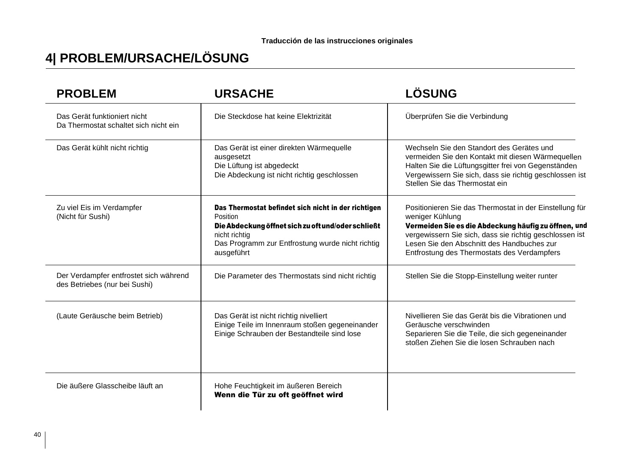# **4| PROBLEM/URSACHE/LÖSUNG**

| <b>PROBLEM</b>                                                          | <b>URSACHE</b>                                                                                                                                                                                           | LÖSUNG                                                                                                                                                                                                                                                                                     |
|-------------------------------------------------------------------------|----------------------------------------------------------------------------------------------------------------------------------------------------------------------------------------------------------|--------------------------------------------------------------------------------------------------------------------------------------------------------------------------------------------------------------------------------------------------------------------------------------------|
| Das Gerät funktioniert nicht<br>Da Thermostat schaltet sich nicht ein   | Die Steckdose hat keine Elektrizität                                                                                                                                                                     | Überprüfen Sie die Verbindung                                                                                                                                                                                                                                                              |
| Das Gerät kühlt nicht richtig                                           | Das Gerät ist einer direkten Wärmequelle<br>ausgesetzt<br>Die Lüftung ist abgedeckt<br>Die Abdeckung ist nicht richtig geschlossen                                                                       | Wechseln Sie den Standort des Gerätes und<br>vermeiden Sie den Kontakt mit diesen Wärmequellen<br>Halten Sie die Lüftungsgitter frei von Gegenständen<br>Vergewissern Sie sich, dass sie richtig geschlossen ist<br>Stellen Sie das Thermostat ein                                         |
| Zu viel Eis im Verdampfer<br>(Nicht für Sushi)                          | Das Thermostat befindet sich nicht in der richtigen<br>Position<br>Die Abdeckung öffnet sich zu oft und/oder schließt<br>nicht richtig<br>Das Programm zur Entfrostung wurde nicht richtig<br>ausgeführt | Positionieren Sie das Thermostat in der Einstellung für<br>weniger Kühlung<br>Vermeiden Sie es die Abdeckung häufig zu öffnen, und<br>vergewissern Sie sich, dass sie richtig geschlossen ist<br>Lesen Sie den Abschnitt des Handbuches zur<br>Entfrostung des Thermostats des Verdampfers |
| Der Verdampfer entfrostet sich während<br>des Betriebes (nur bei Sushi) | Die Parameter des Thermostats sind nicht richtig                                                                                                                                                         | Stellen Sie die Stopp-Einstellung weiter runter                                                                                                                                                                                                                                            |
| (Laute Geräusche beim Betrieb)                                          | Das Gerät ist nicht richtig nivelliert<br>Einige Teile im Innenraum stoßen gegeneinander<br>Einige Schrauben der Bestandteile sind lose                                                                  | Nivellieren Sie das Gerät bis die Vibrationen und<br>Geräusche verschwinden<br>Separieren Sie die Teile, die sich gegeneinander<br>stoßen Ziehen Sie die losen Schrauben nach                                                                                                              |
| Die äußere Glasscheibe läuft an                                         | Hohe Feuchtigkeit im äußeren Bereich<br>Wenn die Tür zu oft geöffnet wird                                                                                                                                |                                                                                                                                                                                                                                                                                            |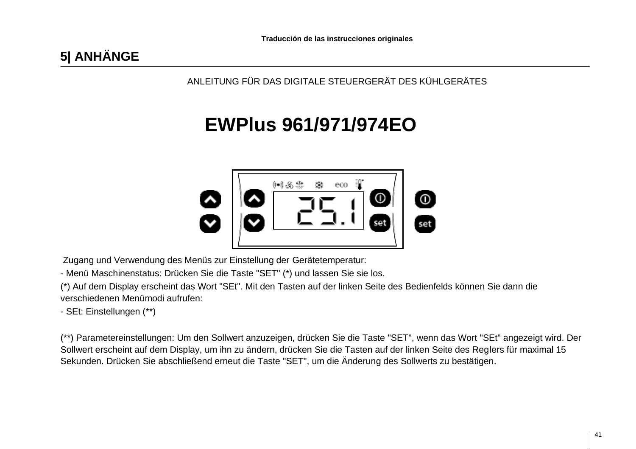# **5| ANHÄNGE**

ANLEITUNG FÜR DAS DIGITALE STEUERGERÄT DES KÜHLGERÄTES

# **EWPlus 961/971/974EO**



Zugang und Verwendung des Menüs zur Einstellung der Gerätetemperatur:

- Menü Maschinenstatus: Drücken Sie die Taste "SET" (\*) und lassen Sie sie los.

(\*) Auf dem Display erscheint das Wort "SEt". Mit den Tasten auf der linken Seite des Bedienfelds können Sie dann die verschiedenen Menümodi aufrufen:

- SEt: Einstellungen (\*\*)

(\*\*) Parametereinstellungen: Um den Sollwert anzuzeigen, drücken Sie die Taste "SET", wenn das Wort "SEt" angezeigt wird. Der Sollwert erscheint auf dem Display, um ihn zu ändern, drücken Sie die Tasten auf der linken Seite des Reglers für maximal 15 Sekunden. Drücken Sie abschließend erneut die Taste "SET", um die Änderung des Sollwerts zu bestätigen.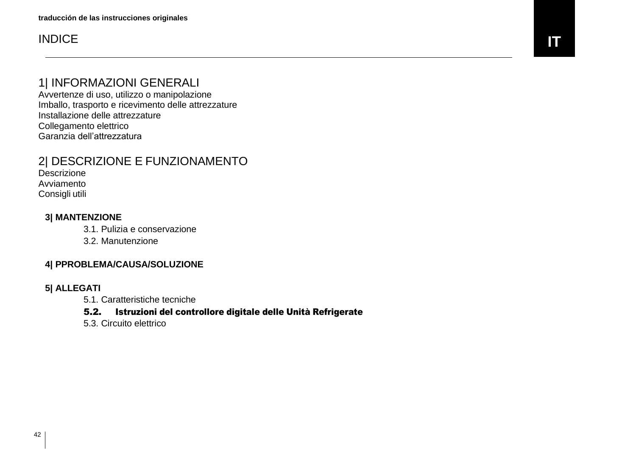**INDICE** 

# 1| INFORMAZIONI GENERALI

Avvertenze di uso, utilizzo o manipolazione Imballo, trasporto e ricevimento delle attrezzature Installazione delle attrezzature Collegamento elettrico Garanzia dell'attrezzatura

# 2| DESCRIZIONE E FUNZIONAMENTO

Descrizione Avviamento Consigli utili

### **3| MANTENZIONE**

3.1. Pulizia e conservazione

3.2. Manutenzione

### **4| PPROBLEMA/CAUSA/SOLUZIONE**

### **5| ALLEGATI**

5.1. Caratteristiche tecniche

### 5.2. Istruzioni del controllore digitale delle Unità Refrigerate

5.3. Circuito elettrico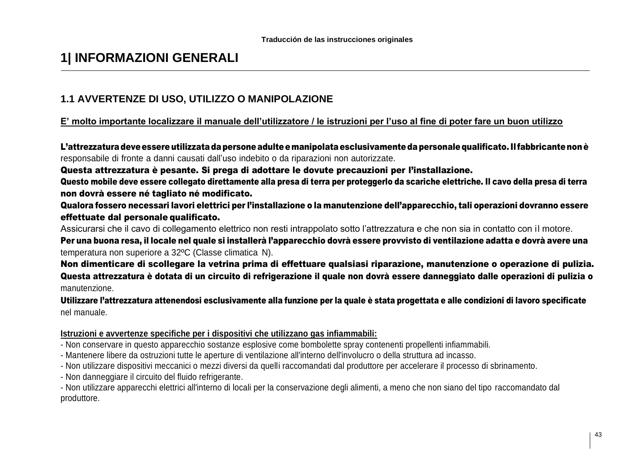# **1| INFORMAZIONI GENERALI**

# **1.1 AVVERTENZE DI USO, UTILIZZO O MANIPOLAZIONE**

### **E' molto importante localizzare il manuale dell'utilizzatore / le istruzioni per l'uso al fine di poter fare un buon utilizzo**

L'attrezzaturadeveessere utilizzatadapersoneadulteemanipolataesclusivamentedapersonalequalificato.Ilfabbricantenonè responsabile di fronte a danni causati dall'uso indebito o da riparazioni non autorizzate.

Questa attrezzatura è pesante. Si prega di adottare le dovute precauzioni per l'installazione.

Questo mobile deve essere collegato direttamente alla presa di terra per proteggerlo da scariche elettriche. Il cavo della presa di terra non dovrà essere né tagliato né modificato.

Qualora fossero necessari lavori elettrici per l'installazione o la manutenzione dell'apparecchio, tali operazioni dovranno essere effettuate dal personale qualificato.

Assicurarsi che il cavo di collegamento elettrico non resti intrappolato sotto l'attrezzatura e che non sia in contatto con il motore.

Per una buona resa, il locale nel quale si installerà l'apparecchio dovrà essere provvisto di ventilazione adatta e dovrà avere una temperatura non superiore a 32ºC (Classe climatica N).

Non dimenticare di scollegare la vetrina prima di effettuare qualsiasi riparazione, manutenzione o operazione di pulizia. Questa attrezzatura è dotata di un circuito di refrigerazione il quale non dovrà essere danneggiato dalle operazioni di pulizia o manutenzione.

Utilizzare l'attrezzatura attenendosi esclusivamente alla funzione per la quale è stata progettata e alle condizioni di lavoro specificate nel manuale.

#### **Istruzioni e avvertenze specifiche per i dispositivi che utilizzano gas infiammabili:**

- Non conservare in questo apparecchio sostanze esplosive come bombolette spray contenenti propellenti infiammabili.

- Mantenere libere da ostruzioni tutte le aperture di ventilazione all'interno dell'involucro o della struttura ad incasso.
- Non utilizzare dispositivi meccanici o mezzi diversi da quelli raccomandati dal produttore per accelerare il processo di sbrinamento.

- Non danneggiare il circuito del fluido refrigerante.

- Non utilizzare apparecchi elettrici all'interno di locali per la conservazione degli alimenti, a meno che non siano del tipo raccomandato dal produttore.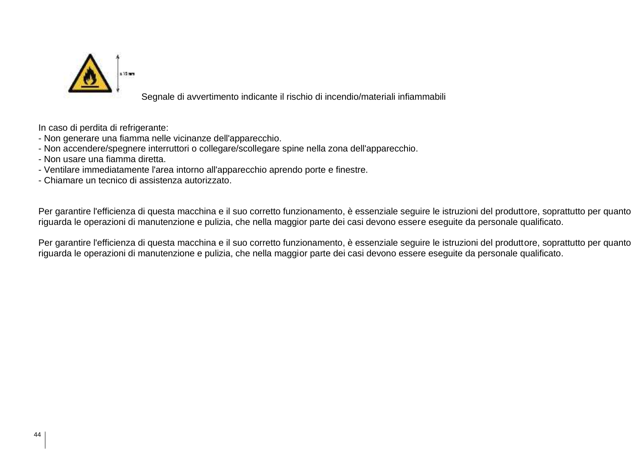

Segnale di avvertimento indicante il rischio di incendio/materiali infiammabili

In caso di perdita di refrigerante:

- Non generare una fiamma nelle vicinanze dell'apparecchio.
- Non accendere/spegnere interruttori o collegare/scollegare spine nella zona dell'apparecchio.
- Non usare una fiamma diretta.
- Ventilare immediatamente l'area intorno all'apparecchio aprendo porte e finestre.
- Chiamare un tecnico di assistenza autorizzato.

Per garantire l'efficienza di questa macchina e il suo corretto funzionamento, è essenziale seguire le istruzioni del produttore, soprattutto per quanto riguarda le operazioni di manutenzione e pulizia, che nella maggior parte dei casi devono essere eseguite da personale qualificato.

Per garantire l'efficienza di questa macchina e il suo corretto funzionamento, è essenziale seguire le istruzioni del produttore, soprattutto per quanto riguarda le operazioni di manutenzione e pulizia, che nella maggior parte dei casi devono essere eseguite da personale qualificato.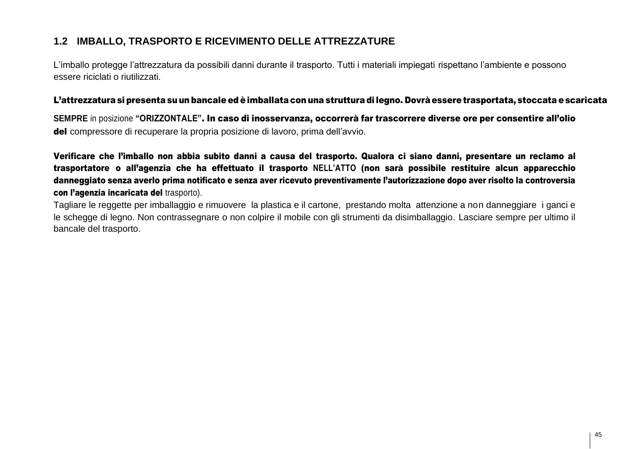# **1.2 IMBALLO, TRASPORTO E RICEVIMENTO DELLE ATTREZZATURE**

L'imballo protegge l'attrezzatura da possibili danni durante il trasporto. Tutti i materiali impiegati rispettano l'ambiente e possono essere riciclati o riutilizzati.

#### L'attrezzatura si presenta suun bancale ed èimballata con una struttura di legno. Dovràesseretrasportata, stoccata escaricata

**SEMPRE** in posizione **"ORIZZONTALE"**. In caso di inosservanza, occorrerà far trascorrere diverse ore per consentire all'olio del compressore di recuperare la propria posizione di lavoro, prima dell'avvio.

Verificare che l'imballo non abbia subito danni a causa del trasporto. Qualora ci siano danni, presentare un reclamo al trasportatore o all'agenzia che ha effettuato il trasporto **NELL'ATTO** (non sarà possibile restituire alcun apparecchio danneggiato senza averlo prima notificato e senza aver ricevuto preventivamente l'autorizzazione dopo aver risolto la controversia con l'agenzia incaricata del trasporto).

Tagliare le reggette per imballaggio e rimuovere la plastica e il cartone, prestando molta attenzione a non danneggiare i ganci e le schegge di legno. Non contrassegnare o non colpire il mobile con gli strumenti da disimballaggio. Lasciare sempre per ultimo il bancale del trasporto.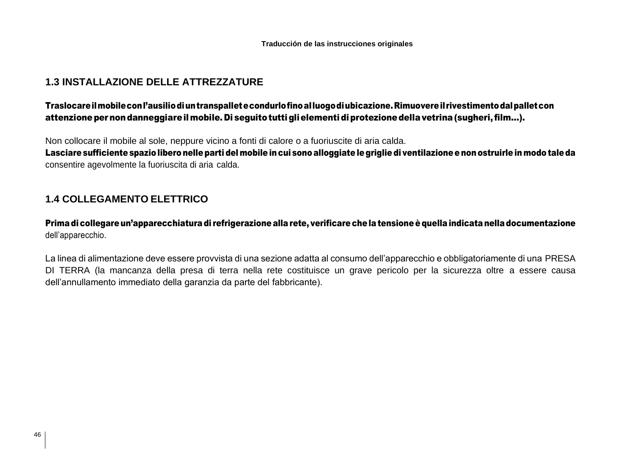### **1.3 INSTALLAZIONE DELLE ATTREZZATURE**

### Traslocareilmobileconl'ausiliodiuntranspalletecondurlofinoalluogodiubicazione.Rimuovereil rivestimentodalpalletcon attenzione per non danneggiare il mobile. Di seguito tutti gli elementi di protezione della vetrina (sugheri, film...).

Non collocare il mobile al sole, neppure vicino a fonti di calore o a fuoriuscite di aria calda.

Lasciare sufficiente spazio libero nelle parti del mobile in cui sono alloggiate le griglie di ventilazione e non ostruirle in modo tale da consentire agevolmente la fuoriuscita di aria calda.

### **1.4 COLLEGAMENTO ELETTRICO**

Prima di collegare un'apparecchiatura di refrigerazione alla rete, verificare che la tensione è quella indicata nella documentazione dell'apparecchio.

La linea di alimentazione deve essere provvista di una sezione adatta al consumo dell'apparecchio e obbligatoriamente di una PRESA DI TERRA (la mancanza della presa di terra nella rete costituisce un grave pericolo per la sicurezza oltre a essere causa dell'annullamento immediato della garanzia da parte del fabbricante).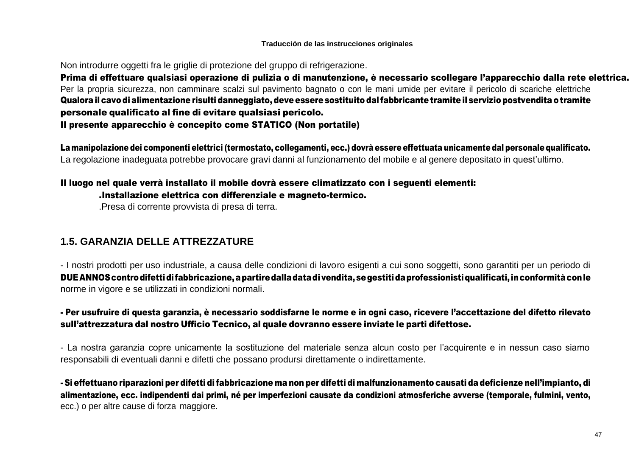#### **Traducción de las instrucciones originales**

Non introdurre oggetti fra le griglie di protezione del gruppo di refrigerazione.

Prima di effettuare qualsiasi operazione di pulizia o di manutenzione, è necessario scollegare l'apparecchio dalla rete elettrica. Per la propria sicurezza, non camminare scalzi sul pavimento bagnato o con le mani umide per evitare il pericolo di scariche elettriche Qualora ilcavo dialimentazione risulti danneggiato, deve essere sostituito dalfabbricante tramite il servizio postvendita otramite personale qualificato al fine di evitare qualsiasi pericolo. Il presente apparecchio è concepito come STATICO (Non portatile)

La manipolazione dei componenti elettrici (termostato, collegamenti, ecc.) dovrà essere effettuata unicamente dal personale qualificato. La regolazione inadeguata potrebbe provocare gravi danni al funzionamento del mobile e al genere depositato in quest'ultimo.

#### Il luogo nel quale verrà installato il mobile dovrà essere climatizzato con i seguenti elementi: .Installazione elettrica con differenziale e magneto-termico.

.Presa di corrente provvista di presa di terra.

### **1.5. GARANZIA DELLE ATTREZZATURE**

- I nostri prodotti per uso industriale, a causa delle condizioni di lavoro esigenti a cui sono soggetti, sono garantiti per un periodo di DUEANNOScontrodifettidifabbricazione,apartiredalladatadivendita,segestitidaprofessionistiqualificati,inconformitàconle norme in vigore e se utilizzati in condizioni normali.

### - Per usufruire di questa garanzia, è necessario soddisfarne le norme e in ogni caso, ricevere l'accettazione del difetto rilevato sull'attrezzatura dal nostro Ufficio Tecnico, al quale dovranno essere inviate le parti difettose.

- La nostra garanzia copre unicamente la sostituzione del materiale senza alcun costo per l'acquirente e in nessun caso siamo responsabili di eventuali danni e difetti che possano prodursi direttamente o indirettamente.

- Si effettuano riparazioni per difetti difabbricazione ma non per difetti di malfunzionamento causati da deficienze nell'impianto, di alimentazione, ecc. indipendenti dai primi, né per imperfezioni causate da condizioni atmosferiche avverse (temporale, fulmini, vento, ecc.) o per altre cause di forza maggiore.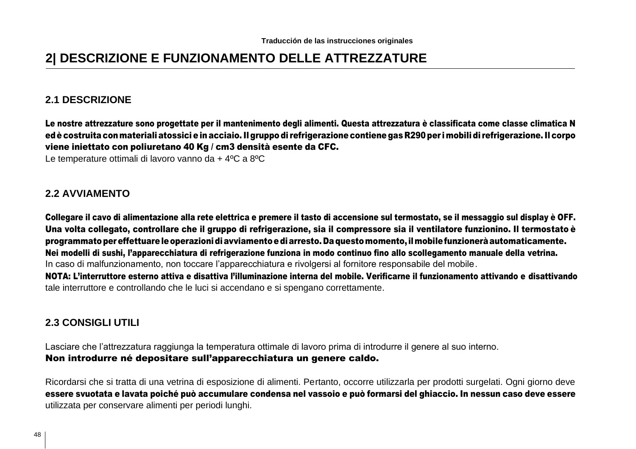# **2| DESCRIZIONE E FUNZIONAMENTO DELLE ATTREZZATURE**

### **2.1 DESCRIZIONE**

Le nostre attrezzature sono progettate per il mantenimento degli alimenti. Questa attrezzatura è classificata come classe climatica N edè costruita conmaterialiatossici e in acciaio.Ilgruppo di refrigerazione contienegas R290per imobili di refrigerazione.Ilcorpo viene iniettato con poliuretano 40 Kg / cm3 densità esente da CFC.

Le temperature ottimali di lavoro vanno da + 4ºC a 8ºC

### **2.2 AVVIAMENTO**

Collegare il cavo di alimentazione alla rete elettrica e premere il tasto di accensione sul termostato, se il messaggio sul display è OFF. Una volta collegato, controllare che il gruppo di refrigerazione, sia il compressore sia il ventilatore funzionino. Il termostato è programmatopereffettuareleoperazionidiavviamentoediarresto.Daquestomomento,ilmobilefunzioneràautomaticamente. Nei modelli di sushi, l'apparecchiatura di refrigerazione funziona in modo continuo fino allo scollegamento manuale della vetrina. In caso di malfunzionamento, non toccare l'apparecchiatura e rivolgersi al fornitore responsabile del mobile. NOTA: L'interruttore esterno attiva e disattiva l'illuminazione interna del mobile. Verificarne il funzionamento attivando e disattivando tale interruttore e controllando che le luci si accendano e si spengano correttamente.

# **2.3 CONSIGLI UTILI**

Lasciare che l'attrezzatura raggiunga la temperatura ottimale di lavoro prima di introdurre il genere al suo interno. Non introdurre né depositare sull'apparecchiatura un genere caldo.

Ricordarsi che si tratta di una vetrina di esposizione di alimenti. Pertanto, occorre utilizzarla per prodotti surgelati. Ogni giorno deve essere svuotata e lavata poiché può accumulare condensa nel vassoio e può formarsi del ghiaccio. In nessun caso deve essere utilizzata per conservare alimenti per periodi lunghi.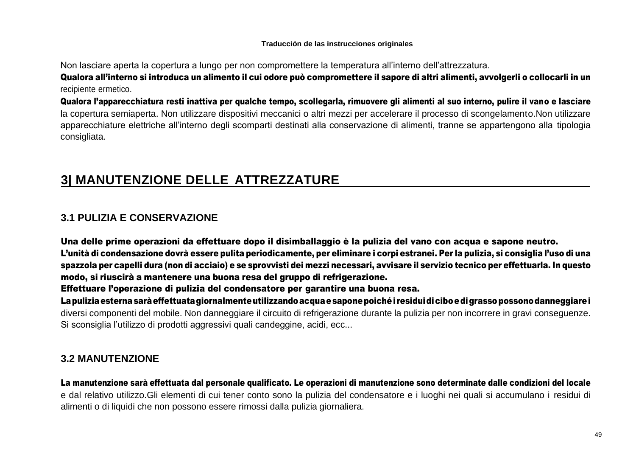#### **Traducción de las instrucciones originales**

Non lasciare aperta la copertura a lungo per non compromettere la temperatura all'interno dell'attrezzatura.

Qualora all'interno si introduca un alimento il cui odore può compromettere il sapore di altri alimenti, avvolgerli o collocarli in un recipiente ermetico.

Qualora l'apparecchiatura resti inattiva per qualche tempo, scollegarla, rimuovere gli alimenti al suo interno, pulire il vano e lasciare la copertura semiaperta. Non utilizzare dispositivi meccanici o altri mezzi per accelerare il processo di scongelamento.Non utilizzare apparecchiature elettriche all'interno degli scomparti destinati alla conservazione di alimenti, tranne se appartengono alla tipologia consigliata.

# **3| MANUTENZIONE DELLE ATTREZZATURE**

## **3.1 PULIZIA E CONSERVAZIONE**

Una delle prime operazioni da effettuare dopo il disimballaggio è la pulizia del vano con acqua e sapone neutro. L'unità di condensazione dovrà essere pulita periodicamente, per eliminare i corpi estranei. Per la pulizia, si consiglia l'uso di una spazzola per capelli dura (non di acciaio) e se sprovvisti dei mezzi necessari, avvisare il servizio tecnico per effettuarla. In questo modo, si riuscirà a mantenere una buona resa del gruppo di refrigerazione.

Effettuare l'operazione di pulizia del condensatore per garantire una buona resa.

Lapuliziaesternasaràeffettuatagiornalmenteutilizzandoacquaesaponepoichéi residuidiciboedigrassopossonodanneggiarei diversi componenti del mobile. Non danneggiare il circuito di refrigerazione durante la pulizia per non incorrere in gravi conseguenze. Si sconsiglia l'utilizzo di prodotti aggressivi quali candeggine, acidi, ecc...

# **3.2 MANUTENZIONE**

La manutenzione sarà effettuata dal personale qualificato. Le operazioni di manutenzione sono determinate dalle condizioni del locale e dal relativo utilizzo.Gli elementi di cui tener conto sono la pulizia del condensatore e i luoghi nei quali si accumulano i residui di alimenti o di liquidi che non possono essere rimossi dalla pulizia giornaliera.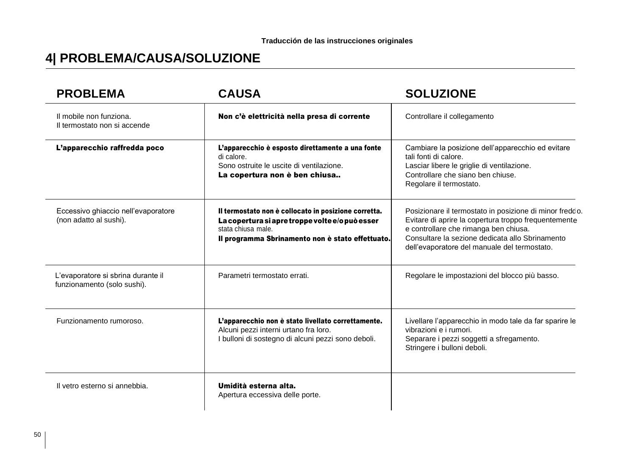# **4| PROBLEMA/CAUSA/SOLUZIONE**

| <b>PROBLEMA</b>                                                   | <b>CAUSA</b>                                                                                                                                                                      | <b>SOLUZIONE</b>                                                                                                                                                                                                                                            |
|-------------------------------------------------------------------|-----------------------------------------------------------------------------------------------------------------------------------------------------------------------------------|-------------------------------------------------------------------------------------------------------------------------------------------------------------------------------------------------------------------------------------------------------------|
| Il mobile non funziona.<br>Il termostato non si accende           | Non c'è elettricità nella presa di corrente                                                                                                                                       | Controllare il collegamento                                                                                                                                                                                                                                 |
| L'apparecchio raffredda poco                                      | L'apparecchio è esposto direttamente a una fonte<br>di calore.<br>Sono ostruite le uscite di ventilazione<br>La copertura non è ben chiusa                                        | Cambiare la posizione dell'apparecchio ed evitare<br>tali fonti di calore.<br>Lasciar libere le griglie di ventilazione.<br>Controllare che siano ben chiuse.<br>Regolare il termostato.                                                                    |
| Eccessivo ghiaccio nell'evaporatore<br>(non adatto al sushi).     | Il termostato non è collocato in posizione corretta.<br>La copertura si apre troppe volte e/o può esser<br>stata chiusa male.<br>Il programma Sbrinamento non è stato effettuato. | Posizionare il termostato in posizione di minor freddo.<br>Evitare di aprire la copertura troppo frequentemente<br>e controllare che rimanga ben chiusa.<br>Consultare la sezione dedicata allo Sbrinamento<br>dell'evaporatore del manuale del termostato. |
| L'evaporatore si sbrina durante il<br>funzionamento (solo sushi). | Parametri termostato errati.                                                                                                                                                      | Regolare le impostazioni del blocco più basso.                                                                                                                                                                                                              |
| Funzionamento rumoroso.                                           | L'apparecchio non è stato livellato correttamente.<br>Alcuni pezzi interni urtano fra loro.<br>I bulloni di sostegno di alcuni pezzi sono deboli.                                 | Livellare l'apparecchio in modo tale da far sparire le<br>vibrazioni e i rumori.<br>Separare i pezzi soggetti a sfregamento.<br>Stringere i bulloni deboli.                                                                                                 |
| Il vetro esterno si annebbia.                                     | Umidità esterna alta.<br>Apertura eccessiva delle porte.                                                                                                                          |                                                                                                                                                                                                                                                             |